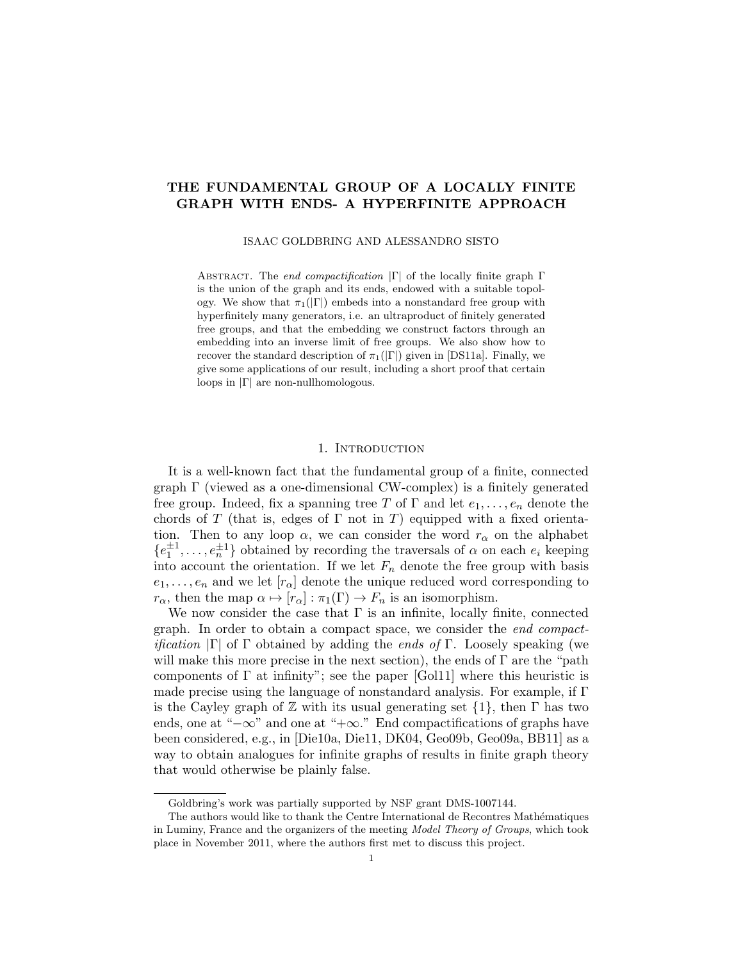# THE FUNDAMENTAL GROUP OF A LOCALLY FINITE GRAPH WITH ENDS- A HYPERFINITE APPROACH

ISAAC GOLDBRING AND ALESSANDRO SISTO

ABSTRACT. The end compactification  $|\Gamma|$  of the locally finite graph  $\Gamma$ is the union of the graph and its ends, endowed with a suitable topology. We show that  $\pi_1(|\Gamma|)$  embeds into a nonstandard free group with hyperfinitely many generators, i.e. an ultraproduct of finitely generated free groups, and that the embedding we construct factors through an embedding into an inverse limit of free groups. We also show how to recover the standard description of  $\pi_1(|\Gamma|)$  given in [DS11a]. Finally, we give some applications of our result, including a short proof that certain loops in |Γ| are non-nullhomologous.

## 1. INTRODUCTION

It is a well-known fact that the fundamental group of a finite, connected graph Γ (viewed as a one-dimensional CW-complex) is a finitely generated free group. Indeed, fix a spanning tree T of  $\Gamma$  and let  $e_1, \ldots, e_n$  denote the chords of T (that is, edges of  $\Gamma$  not in T) equipped with a fixed orientation. Then to any loop  $\alpha$ , we can consider the word  $r_{\alpha}$  on the alphabet  $\{e_1^{\pm 1}, \ldots, e_n^{\pm 1}\}\$  obtained by recording the traversals of  $\alpha$  on each  $e_i$  keeping into account the orientation. If we let  $F_n$  denote the free group with basis  $e_1, \ldots, e_n$  and we let  $[r_\alpha]$  denote the unique reduced word corresponding to  $r_{\alpha}$ , then the map  $\alpha \mapsto [r_{\alpha}] : \pi_1(\Gamma) \to F_n$  is an isomorphism.

We now consider the case that  $\Gamma$  is an infinite, locally finite, connected graph. In order to obtain a compact space, we consider the end compact*ification*  $|\Gamma|$  of  $\Gamma$  obtained by adding the *ends of*  $\Gamma$ . Loosely speaking (we will make this more precise in the next section), the ends of  $\Gamma$  are the "path" components of  $\Gamma$  at infinity"; see the paper [Gol11] where this heuristic is made precise using the language of nonstandard analysis. For example, if Γ is the Cayley graph of  $\mathbb Z$  with its usual generating set  $\{1\}$ , then  $\Gamma$  has two ends, one at "−∞" and one at "+∞." End compactifications of graphs have been considered, e.g., in [Die10a, Die11, DK04, Geo09b, Geo09a, BB11] as a way to obtain analogues for infinite graphs of results in finite graph theory that would otherwise be plainly false.

Goldbring's work was partially supported by NSF grant DMS-1007144.

The authors would like to thank the Centre International de Recontres Mathématiques in Luminy, France and the organizers of the meeting Model Theory of Groups, which took place in November 2011, where the authors first met to discuss this project.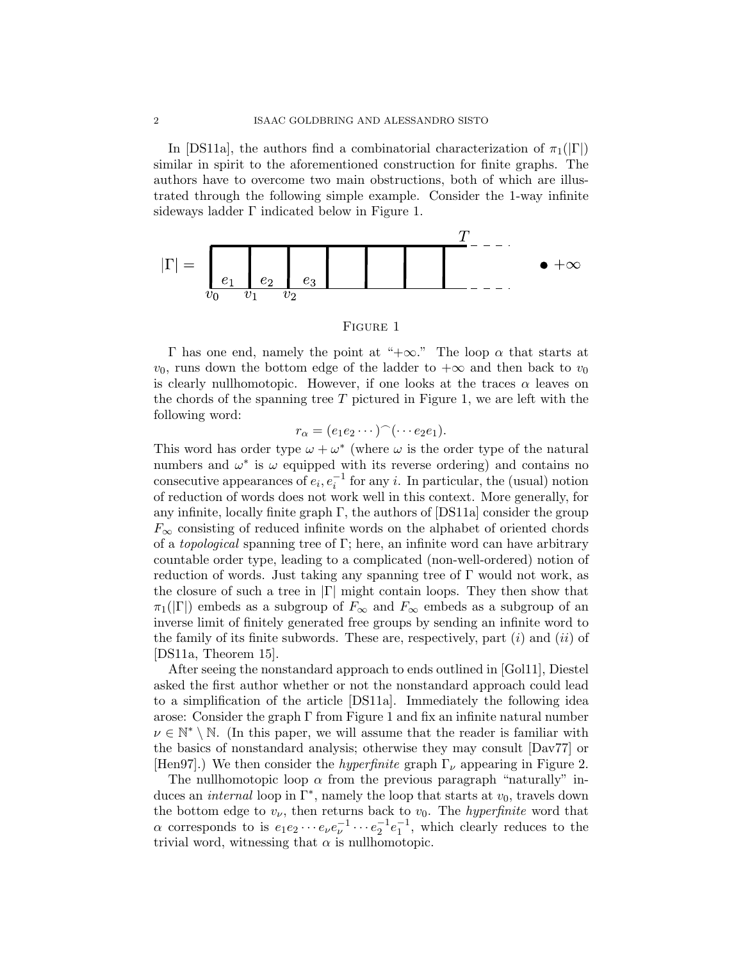In [DS11a], the authors find a combinatorial characterization of  $\pi_1(|\Gamma|)$ similar in spirit to the aforementioned construction for finite graphs. The authors have to overcome two main obstructions, both of which are illustrated through the following simple example. Consider the 1-way infinite sideways ladder  $\Gamma$  indicated below in Figure 1.



### Figure 1

Γ has one end, namely the point at "+∞." The loop α that starts at  $v_0$ , runs down the bottom edge of the ladder to  $+\infty$  and then back to  $v_0$ is clearly nullhomotopic. However, if one looks at the traces  $\alpha$  leaves on the chords of the spanning tree  $T$  pictured in Figure 1, we are left with the following word:

$$
r_{\alpha} = (e_1 e_2 \cdots)^{\frown} (\cdots e_2 e_1).
$$

This word has order type  $\omega + \omega^*$  (where  $\omega$  is the order type of the natural numbers and  $\omega^*$  is  $\omega$  equipped with its reverse ordering) and contains no consecutive appearances of  $e_i, e_i^{-1}$  for any i. In particular, the (usual) notion of reduction of words does not work well in this context. More generally, for any infinite, locally finite graph  $\Gamma$ , the authors of [DS11a] consider the group  $F_{\infty}$  consisting of reduced infinite words on the alphabet of oriented chords of a *topological* spanning tree of  $\Gamma$ ; here, an infinite word can have arbitrary countable order type, leading to a complicated (non-well-ordered) notion of reduction of words. Just taking any spanning tree of  $\Gamma$  would not work, as the closure of such a tree in  $|\Gamma|$  might contain loops. They then show that  $\pi_1(|\Gamma|)$  embeds as a subgroup of  $F_\infty$  and  $F_\infty$  embeds as a subgroup of an inverse limit of finitely generated free groups by sending an infinite word to the family of its finite subwords. These are, respectively, part  $(i)$  and  $(ii)$  of [DS11a, Theorem 15].

After seeing the nonstandard approach to ends outlined in [Gol11], Diestel asked the first author whether or not the nonstandard approach could lead to a simplification of the article [DS11a]. Immediately the following idea arose: Consider the graph  $\Gamma$  from Figure 1 and fix an infinite natural number  $\nu \in \mathbb{N}^* \setminus \mathbb{N}$ . (In this paper, we will assume that the reader is familiar with the basics of nonstandard analysis; otherwise they may consult [Dav77] or [Hen97].) We then consider the *hyperfinite* graph  $\Gamma_{\nu}$  appearing in Figure 2.

The nullhomotopic loop  $\alpha$  from the previous paragraph "naturally" induces an *internal* loop in  $\Gamma^*$ , namely the loop that starts at  $v_0$ , travels down the bottom edge to  $v_{\nu}$ , then returns back to  $v_0$ . The *hyperfinite* word that  $\alpha$  corresponds to is  $e_1e_2\cdots e_\nu e_\nu^{-1}\cdots e_2^{-1}e_1^{-1}$ , which clearly reduces to the trivial word, witnessing that  $\alpha$  is nullhomotopic.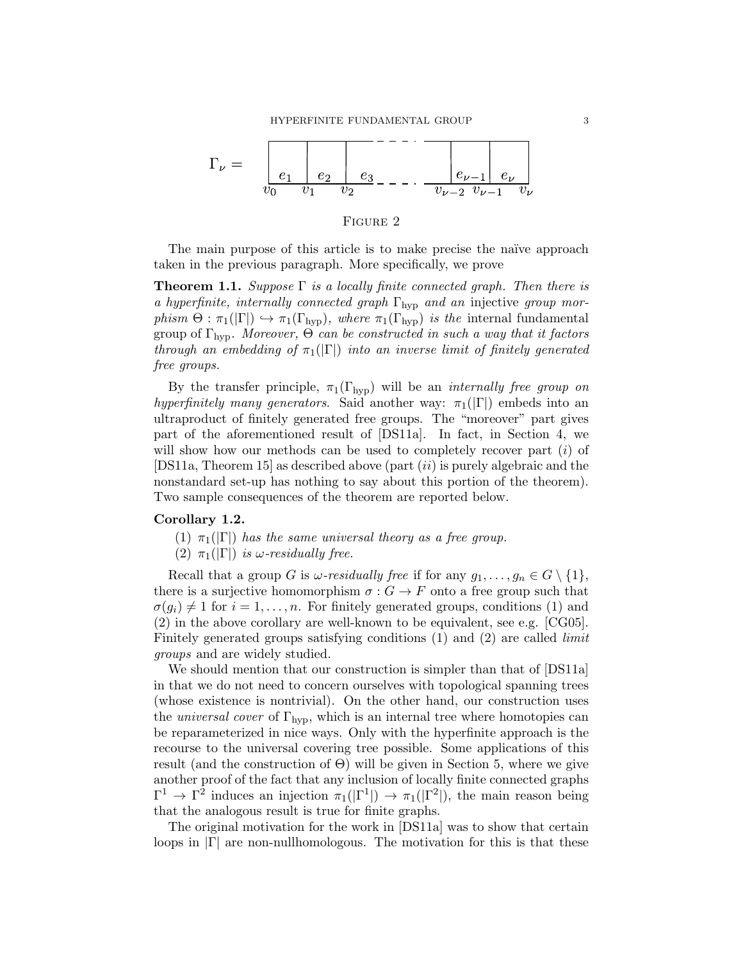

## FIGURE 2

The main purpose of this article is to make precise the naïve approach taken in the previous paragraph. More specifically, we prove

**Theorem 1.1.** Suppose  $\Gamma$  is a locally finite connected graph. Then there is a hyperfinite, internally connected graph  $\Gamma_{\text{hyp}}$  and an injective group morphism  $\Theta$ :  $\pi_1(|\Gamma|) \hookrightarrow \pi_1(\Gamma_{\text{hyp}})$ , where  $\pi_1(\Gamma_{\text{hyp}})$  is the internal fundamental group of  $\Gamma_{\text{hvo}}$ . Moreover,  $\Theta$  can be constructed in such a way that it factors through an embedding of  $\pi_1(|\Gamma|)$  into an inverse limit of finitely generated free groups.

By the transfer principle,  $\pi_1(\Gamma_{\text{hyp}})$  will be an *internally free group on* hyperfinitely many generators. Said another way:  $\pi_1(|\Gamma|)$  embeds into an ultraproduct of finitely generated free groups. The "moreover" part gives part of the aforementioned result of [DS11a]. In fact, in Section 4, we will show how our methods can be used to completely recover part  $(i)$  of [DS11a, Theorem 15] as described above (part  $(ii)$  is purely algebraic and the nonstandard set-up has nothing to say about this portion of the theorem). Two sample consequences of the theorem are reported below.

## Corollary 1.2.

- (1)  $\pi_1(|\Gamma|)$  has the same universal theory as a free group.
- (2)  $\pi_1(|\Gamma|)$  is  $\omega$ -residually free.

Recall that a group G is  $\omega$ -residually free if for any  $g_1, \ldots, g_n \in G \setminus \{1\},$ there is a surjective homomorphism  $\sigma: G \to F$  onto a free group such that  $\sigma(g_i) \neq 1$  for  $i = 1, \ldots, n$ . For finitely generated groups, conditions (1) and (2) in the above corollary are well-known to be equivalent, see e.g. [CG05]. Finitely generated groups satisfying conditions (1) and (2) are called *limit* groups and are widely studied.

We should mention that our construction is simpler than that of [DS11a] in that we do not need to concern ourselves with topological spanning trees (whose existence is nontrivial). On the other hand, our construction uses the *universal cover* of  $\Gamma_{\text{hyp}}$ , which is an internal tree where homotopies can be reparameterized in nice ways. Only with the hyperfinite approach is the recourse to the universal covering tree possible. Some applications of this result (and the construction of  $\Theta$ ) will be given in Section 5, where we give another proof of the fact that any inclusion of locally finite connected graphs  $\Gamma^1 \to \Gamma^2$  induces an injection  $\pi_1(|\Gamma^1|) \to \pi_1(|\Gamma^2|)$ , the main reason being that the analogous result is true for finite graphs.

The original motivation for the work in [DS11a] was to show that certain loops in  $|\Gamma|$  are non-nullhomologous. The motivation for this is that these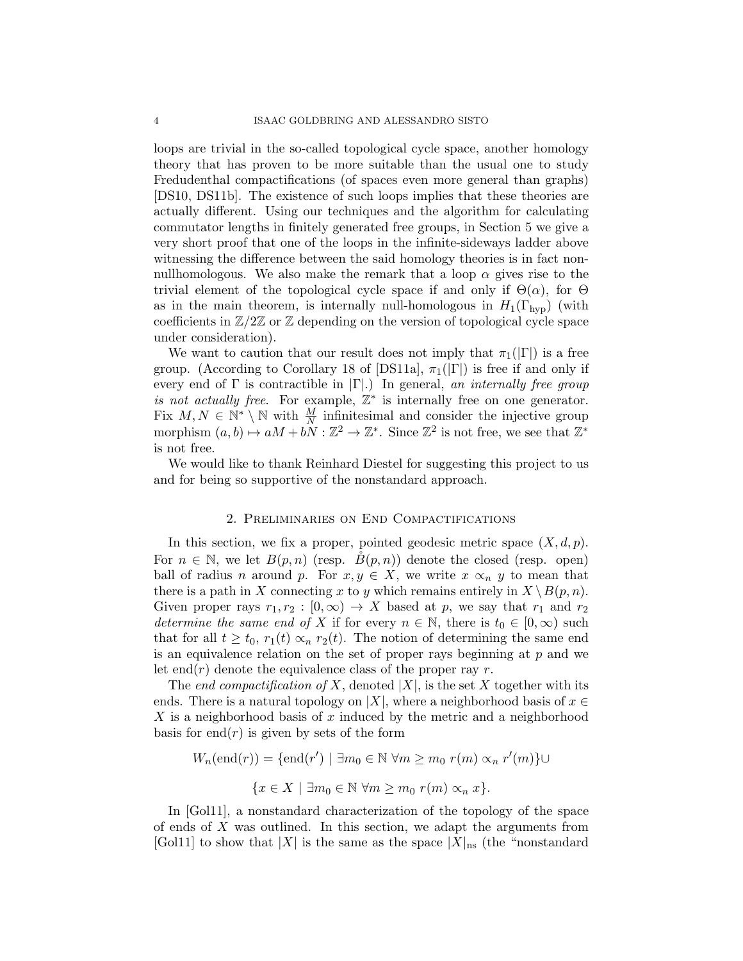loops are trivial in the so-called topological cycle space, another homology theory that has proven to be more suitable than the usual one to study Fredudenthal compactifications (of spaces even more general than graphs) [DS10, DS11b]. The existence of such loops implies that these theories are actually different. Using our techniques and the algorithm for calculating commutator lengths in finitely generated free groups, in Section 5 we give a very short proof that one of the loops in the infinite-sideways ladder above witnessing the difference between the said homology theories is in fact nonnullhomologous. We also make the remark that a loop  $\alpha$  gives rise to the trivial element of the topological cycle space if and only if  $\Theta(\alpha)$ , for  $\Theta$ as in the main theorem, is internally null-homologous in  $H_1(\Gamma_{\rm hyp})$  (with coefficients in  $\mathbb{Z}/2\mathbb{Z}$  or  $\mathbb Z$  depending on the version of topological cycle space under consideration).

We want to caution that our result does not imply that  $\pi_1(|\Gamma|)$  is a free group. (According to Corollary 18 of [DS11a],  $\pi_1(|\Gamma|)$  is free if and only if every end of  $\Gamma$  is contractible in  $|\Gamma|$ .) In general, an internally free group is not actually free. For example,  $\mathbb{Z}^*$  is internally free on one generator. Fix  $M, N \in \mathbb{N}^* \setminus \mathbb{N}$  with  $\frac{M}{N}$  infinitesimal and consider the injective group morphism  $(a, b) \mapsto aM + bN : \mathbb{Z}^2 \to \mathbb{Z}^*$ . Since  $\mathbb{Z}^2$  is not free, we see that  $\mathbb{Z}^*$ is not free.

We would like to thank Reinhard Diestel for suggesting this project to us and for being so supportive of the nonstandard approach.

## 2. Preliminaries on End Compactifications

In this section, we fix a proper, pointed geodesic metric space  $(X, d, p)$ . For  $n \in \mathbb{N}$ , we let  $B(p,n)$  (resp.  $B(p,n)$ ) denote the closed (resp. open) ball of radius n around p. For  $x, y \in X$ , we write  $x \propto_n y$  to mean that there is a path in X connecting x to y which remains entirely in  $X \setminus B(p, n)$ . Given proper rays  $r_1, r_2 : [0, \infty) \to X$  based at p, we say that  $r_1$  and  $r_2$ determine the same end of X if for every  $n \in \mathbb{N}$ , there is  $t_0 \in [0,\infty)$  such that for all  $t \geq t_0$ ,  $r_1(t) \propto_n r_2(t)$ . The notion of determining the same end is an equivalence relation on the set of proper rays beginning at  $p$  and we let end $(r)$  denote the equivalence class of the proper ray r.

The end compactification of X, denoted  $|X|$ , is the set X together with its ends. There is a natural topology on |X|, where a neighborhood basis of  $x \in$ X is a neighborhood basis of x induced by the metric and a neighborhood basis for end $(r)$  is given by sets of the form

$$
W_n(\text{end}(r)) = \{ \text{end}(r') \mid \exists m_0 \in \mathbb{N} \,\forall m \ge m_0 \,r(m) \propto_n r'(m) \} \cup
$$

$$
\{ x \in X \mid \exists m_0 \in \mathbb{N} \,\forall m \ge m_0 \,r(m) \propto_n x \}.
$$

In [Gol11], a nonstandard characterization of the topology of the space of ends of  $X$  was outlined. In this section, we adapt the arguments from [Gol11] to show that |X| is the same as the space  $|X|_{\text{ns}}$  (the "nonstandard")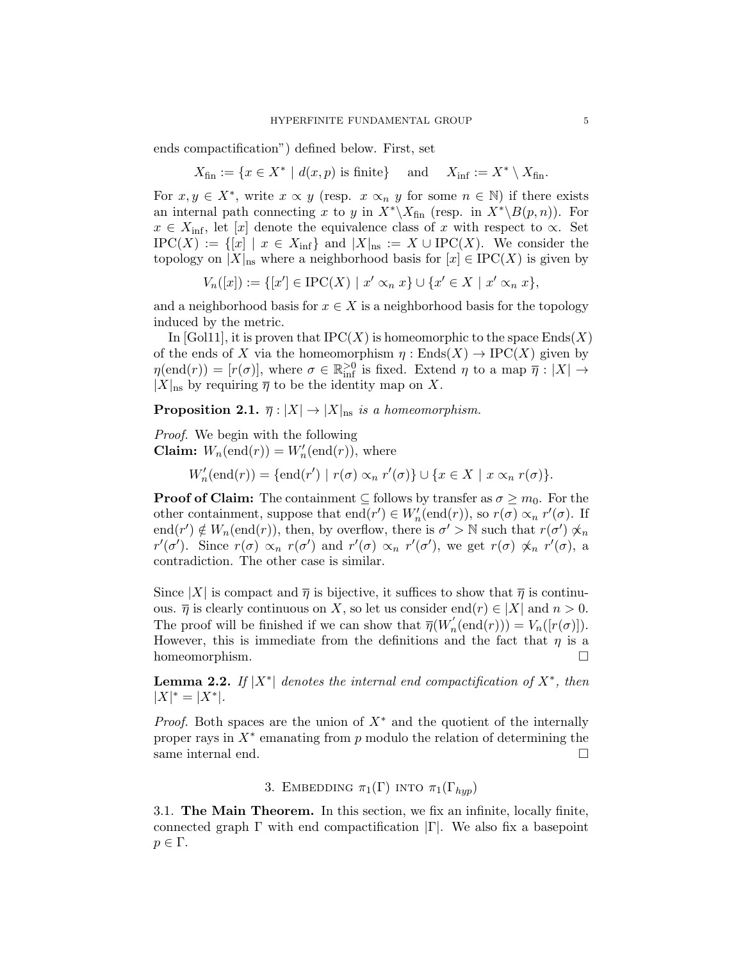ends compactification") defined below. First, set

 $X_{\text{fin}} := \{x \in X^* \mid d(x, p) \text{ is finite}\}\$ and  $X_{\text{inf}} := X^*$  $X_{\text{inf}} := X^* \setminus X_{\text{fin}}.$ 

For  $x, y \in X^*$ , write  $x \propto y$  (resp.  $x \propto_n y$  for some  $n \in \mathbb{N}$ ) if there exists an internal path connecting x to y in  $X^*\backslash X_{fin}$  (resp. in  $X^*\backslash B(p, n)$ ). For  $x \in X_{\text{inf}}$ , let [x] denote the equivalence class of x with respect to  $\infty$ . Set  $IPC(X) := \{ [x] \mid x \in X_{\text{inf}} \}$  and  $|X|_{\text{ns}} := X \cup IPC(X)$ . We consider the topology on  $|X|_{\text{ns}}$  where a neighborhood basis for  $[x] \in \text{IPC}(X)$  is given by

$$
V_n([x]):=\{[x']\in {\rm IPC}(X)\,\,|\,\,x'\propto_n x\}\cup\{x'\in X\,\,|\,\,x'\propto_n x\},
$$

and a neighborhood basis for  $x \in X$  is a neighborhood basis for the topology induced by the metric.

In [Gol11], it is proven that  $IPC(X)$  is homeomorphic to the space  $Ends(X)$ of the ends of X via the homeomorphism  $\eta :$  Ends $(X) \to \text{IPC}(X)$  given by  $\eta(\text{end}(r)) = [r(\sigma)],$  where  $\sigma \in \mathbb{R}^{>0}_{\text{inf}}$  is fixed. Extend  $\eta$  to a map  $\overline{\eta}: |X| \to$  $|X|_{\text{ns}}$  by requiring  $\overline{\eta}$  to be the identity map on X.

**Proposition 2.1.**  $\overline{\eta}: |X| \to |X|_{\text{ns}}$  is a homeomorphism.

Proof. We begin with the following **Claim:**  $W_n(\text{end}(r)) = W'_n(\text{end}(r)),$  where

 $W'_n(\text{end}(r)) = {\text{end}(r') \mid r(\sigma) \propto_n r'(\sigma)} \cup \{x \in X \mid x \propto_n r(\sigma)\}.$ 

**Proof of Claim:** The containment  $\subseteq$  follows by transfer as  $\sigma \geq m_0$ . For the other containment, suppose that  $end(r') \in W'_n(\text{end}(r))$ , so  $r(\sigma) \propto_n r'(\sigma)$ . If end $(r') \notin W_n(\text{end}(r))$ , then, by overflow, there is  $\sigma' > \mathbb{N}$  such that  $r(\sigma') \not\propto_n$  $r'(\sigma')$ . Since  $r(\sigma) \propto_n r(\sigma')$  and  $r'(\sigma) \propto_n r'(\sigma')$ , we get  $r(\sigma) \not\propto_n r'(\sigma)$ , a contradiction. The other case is similar.

Since |X| is compact and  $\overline{\eta}$  is bijective, it suffices to show that  $\overline{\eta}$  is continuous.  $\overline{\eta}$  is clearly continuous on X, so let us consider end $(r) \in |X|$  and  $n > 0$ . The proof will be finished if we can show that  $\overline{\eta}(W'_n(\text{end}(r))) = V_n([r(\sigma)]).$ However, this is immediate from the definitions and the fact that  $\eta$  is a homeomorphism.

**Lemma 2.2.** If  $|X^*|$  denotes the internal end compactification of  $X^*$ , then  $|X|^* = |X^*|.$ 

*Proof.* Both spaces are the union of  $X^*$  and the quotient of the internally proper rays in  $X^*$  emanating from  $p$  modulo the relation of determining the same internal end.  $\hfill \square$ 

3. EMBEDDING  $\pi_1(\Gamma)$  into  $\pi_1(\Gamma_{hun})$ 

3.1. The Main Theorem. In this section, we fix an infinite, locally finite, connected graph  $\Gamma$  with end compactification  $|\Gamma|$ . We also fix a basepoint  $p \in \Gamma$ .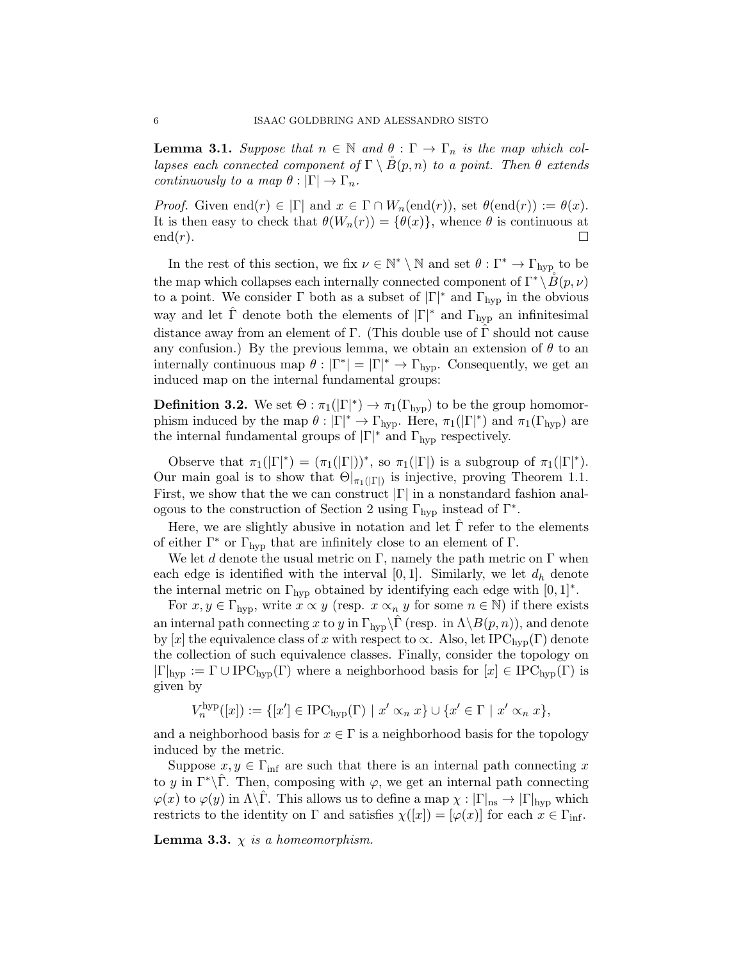**Lemma 3.1.** Suppose that  $n \in \mathbb{N}$  and  $\theta : \Gamma \to \Gamma_n$  is the map which collapses each connected component of  $\Gamma \setminus B(p,n)$  to a point. Then  $\theta$  extends continuously to a map  $\theta : |\Gamma| \to \Gamma_n$ .

*Proof.* Given end $(r) \in |\Gamma|$  and  $x \in \Gamma \cap W_n(\text{end}(r))$ , set  $\theta(\text{end}(r)) := \theta(x)$ . It is then easy to check that  $\theta(W_n(r)) = {\theta(x)}$ , whence  $\theta$  is continuous at  $end(r).$ 

In the rest of this section, we fix  $\nu \in \mathbb{N}^* \setminus \mathbb{N}$  and set  $\theta : \Gamma^* \to \Gamma_{\text{hyp}}$  to be the map which collapses each internally connected component of  $\Gamma^* \setminus \overline{B}(p, \nu)$ to a point. We consider  $\Gamma$  both as a subset of  $|\Gamma|^*$  and  $\Gamma_{\text{hyp}}$  in the obvious way and let  $\hat{\Gamma}$  denote both the elements of  $|\Gamma|^*$  and  $\Gamma_{\text{hyp}}$  an infinitesimal distance away from an element of  $\Gamma$ . (This double use of  $\Gamma$  should not cause any confusion.) By the previous lemma, we obtain an extension of  $\theta$  to an internally continuous map  $\theta : |\Gamma^*| = |\Gamma|^* \to \Gamma_{\text{hyp}}$ . Consequently, we get an induced map on the internal fundamental groups:

**Definition 3.2.** We set  $\Theta$ :  $\pi_1(|\Gamma|^*) \to \pi_1(\Gamma_{\text{hyp}})$  to be the group homomorphism induced by the map  $\theta : |\Gamma|^* \to \Gamma_{\text{hyp}}$ . Here,  $\pi_1(|\Gamma|^*)$  and  $\pi_1(\Gamma_{\text{hyp}})$  are the internal fundamental groups of  $|\Gamma|^*$  and  $\Gamma_{\text{hyp}}$  respectively.

Observe that  $\pi_1(|\Gamma|^*) = (\pi_1(|\Gamma|))^*$ , so  $\pi_1(|\Gamma|)$  is a subgroup of  $\pi_1(|\Gamma|^*)$ . Our main goal is to show that  $\Theta|_{\pi_1(|\Gamma|)}$  is injective, proving Theorem 1.1. First, we show that the we can construct  $|\Gamma|$  in a nonstandard fashion analogous to the construction of Section 2 using  $\Gamma_{\rm hyp}$  instead of  $\Gamma^*$ .

Here, we are slightly abusive in notation and let  $\Gamma$  refer to the elements of either  $\Gamma^*$  or  $\Gamma_{\text{hvp}}$  that are infinitely close to an element of  $\Gamma$ .

We let d denote the usual metric on  $\Gamma$ , namely the path metric on  $\Gamma$  when each edge is identified with the interval [0,1]. Similarly, we let  $d_h$  denote the internal metric on  $\Gamma_{\text{hyp}}$  obtained by identifying each edge with  $[0, 1]^*$ .

For  $x, y \in \Gamma_{\text{hyp}}$ , write  $x \propto y$  (resp.  $x \propto_n y$  for some  $n \in \mathbb{N}$ ) if there exists an internal path connecting x to y in  $\Gamma_{\text{hyp}}\backslash\hat{\Gamma}$  (resp. in  $\Lambda\backslash B(p, n)$ ), and denote by [x] the equivalence class of x with respect to  $\propto$ . Also, let IPC<sub>hyp</sub>(Γ) denote the collection of such equivalence classes. Finally, consider the topology on  $|\Gamma|_{hyp} := \Gamma \cup \text{IPC}_{hyp}(\Gamma)$  where a neighborhood basis for  $[x] \in \text{IPC}_{hyp}(\Gamma)$  is given by

$$
V_n^{\text{hyp}}([x]) := \{ [x'] \in \text{IPC}_{\text{hyp}}(\Gamma) \mid x' \propto_n x \} \cup \{ x' \in \Gamma \mid x' \propto_n x \},
$$

and a neighborhood basis for  $x \in \Gamma$  is a neighborhood basis for the topology induced by the metric.

Suppose  $x, y \in \Gamma_{\text{inf}}$  are such that there is an internal path connecting x to y in  $\Gamma^*\backslash\Gamma$ . Then, composing with  $\varphi$ , we get an internal path connecting  $\varphi(x)$  to  $\varphi(y)$  in  $\Lambda\backslash\Gamma$ . This allows us to define a map  $\chi: |\Gamma|_{\text{ns}} \to |\Gamma|_{\text{hyp}}$  which restricts to the identity on  $\Gamma$  and satisfies  $\chi([x]) = [\varphi(x)]$  for each  $x \in \Gamma_{\text{inf}}$ .

**Lemma 3.3.**  $\chi$  is a homeomorphism.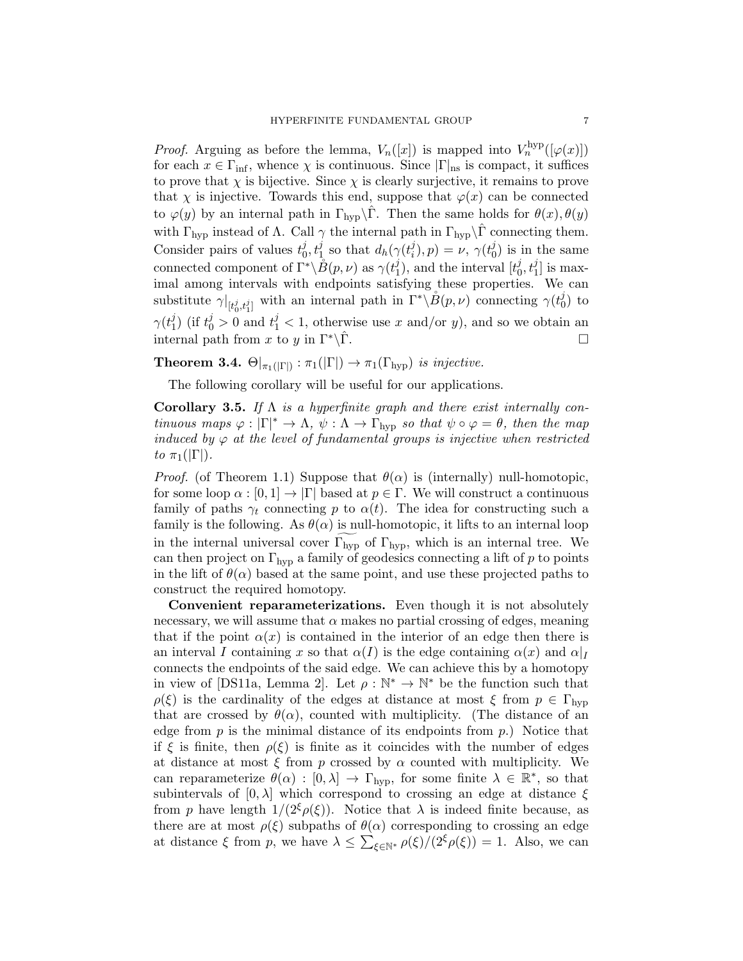*Proof.* Arguing as before the lemma,  $V_n([x])$  is mapped into  $V_n^{\text{hyp}}([\varphi(x)])$ for each  $x \in \Gamma_{\text{inf}}$ , whence  $\chi$  is continuous. Since  $|\Gamma|_{\text{ns}}$  is compact, it suffices to prove that  $\chi$  is bijective. Since  $\chi$  is clearly surjective, it remains to prove that  $\chi$  is injective. Towards this end, suppose that  $\varphi(x)$  can be connected to  $\varphi(y)$  by an internal path in  $\Gamma_{\text{hyp}}\backslash\Gamma$ . Then the same holds for  $\theta(x), \theta(y)$ with  $\Gamma_{\text{hyp}}$  instead of  $\Lambda$ . Call  $\gamma$  the internal path in  $\Gamma_{\text{hyp}}\setminus\hat{\Gamma}$  connecting them. Consider pairs of values  $t_0^j$  $\dot{y}_0, t_1^j$  so that  $d_h(\gamma(t_i^j))$  $\psi^{j}_{i}$ ),  $p) = \nu, \ \gamma(t^{j}_{0})$  $\binom{J}{0}$  is in the same connected component of  $\Gamma^* \backslash \overset{\circ}{B}(p, \nu)$  as  $\gamma(t_1^j)$  $j(1)$ , and the interval  $[t_0^j]$  $\left[0,t_1^j\right]$  is maximal among intervals with endpoints satisfying these properties. We can substitute  $\gamma|_{[t_0^j, t_1^j]}$  with an internal path in  $\Gamma^* \backslash \mathring{B}(p, \nu)$  connecting  $\gamma(t_0^j)$  $_0^j$ ) to  $\gamma(t_1^j$  $j(1)$  (if  $t_0^j > 0$  and  $t_1^j < 1$ , otherwise use x and/or y), and so we obtain an internal path from x to y in  $\Gamma^*\backslash \hat{\Gamma}$ .

**Theorem 3.4.**  $\Theta|_{\pi_1(|\Gamma|)} : \pi_1(|\Gamma|) \to \pi_1(\Gamma_{\text{hyp}})$  is injective.

The following corollary will be useful for our applications.

Corollary 3.5. If  $\Lambda$  is a hyperfinite graph and there exist internally continuous maps  $\varphi : |\Gamma|^* \to \Lambda$ ,  $\psi : \Lambda \to \Gamma_{\text{hyp}}$  so that  $\psi \circ \varphi = \theta$ , then the map induced by  $\varphi$  at the level of fundamental groups is injective when restricted to  $\pi_1(|\Gamma|)$ .

*Proof.* (of Theorem 1.1) Suppose that  $\theta(\alpha)$  is (internally) null-homotopic, for some loop  $\alpha : [0,1] \to |\Gamma|$  based at  $p \in \Gamma$ . We will construct a continuous family of paths  $\gamma_t$  connecting p to  $\alpha(t)$ . The idea for constructing such a family is the following. As  $\theta(\alpha)$  is null-homotopic, it lifts to an internal loop in the internal universal cover  $\Gamma_{\text{hyp}}$  of  $\Gamma_{\text{hyp}}$ , which is an internal tree. We can then project on  $\Gamma_{\text{hyp}}$  a family of geodesics connecting a lift of p to points in the lift of  $\theta(\alpha)$  based at the same point, and use these projected paths to construct the required homotopy.

Convenient reparameterizations. Even though it is not absolutely necessary, we will assume that  $\alpha$  makes no partial crossing of edges, meaning that if the point  $\alpha(x)$  is contained in the interior of an edge then there is an interval I containing x so that  $\alpha(I)$  is the edge containing  $\alpha(x)$  and  $\alpha|_I$ connects the endpoints of the said edge. We can achieve this by a homotopy in view of [DS11a, Lemma 2]. Let  $\rho : \mathbb{N}^* \to \mathbb{N}^*$  be the function such that  $\rho(\xi)$  is the cardinality of the edges at distance at most  $\xi$  from  $p \in \Gamma_{\text{hyp}}$ that are crossed by  $\theta(\alpha)$ , counted with multiplicity. (The distance of an edge from  $p$  is the minimal distance of its endpoints from  $p$ .) Notice that if  $\xi$  is finite, then  $\rho(\xi)$  is finite as it coincides with the number of edges at distance at most  $\xi$  from p crossed by  $\alpha$  counted with multiplicity. We can reparameterize  $\theta(\alpha) : [0, \lambda] \to \Gamma_{\text{hyp}}$ , for some finite  $\lambda \in \mathbb{R}^*$ , so that subintervals of  $[0, \lambda]$  which correspond to crossing an edge at distance  $\xi$ from p have length  $1/(2^{\xi}\rho(\xi))$ . Notice that  $\lambda$  is indeed finite because, as there are at most  $\rho(\xi)$  subpaths of  $\theta(\alpha)$  corresponding to crossing an edge at distance  $\xi$  from p, we have  $\lambda \leq \sum_{\xi \in \mathbb{N}^*} \rho(\xi)/(2^{\xi} \rho(\xi)) = 1$ . Also, we can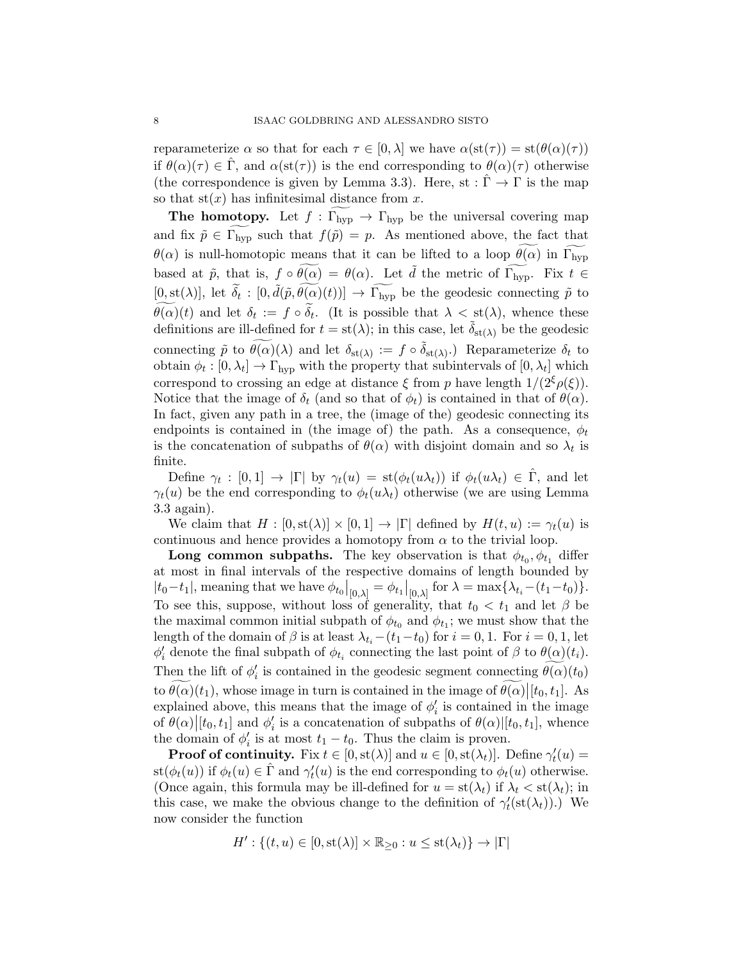reparameterize  $\alpha$  so that for each  $\tau \in [0, \lambda]$  we have  $\alpha(st(\tau)) = st(\theta(\alpha)(\tau))$ if  $\theta(\alpha)(\tau) \in \hat{\Gamma}$ , and  $\alpha(st(\tau))$  is the end corresponding to  $\theta(\alpha)(\tau)$  otherwise (the correspondence is given by Lemma 3.3). Here, st :  $\hat{\Gamma} \to \Gamma$  is the map so that  $st(x)$  has infinitesimal distance from x.

**The homotopy.** Let  $f : \Gamma_{hyp} \to \Gamma_{hyp}$  be the universal covering map and fix  $\tilde{p} \in \Gamma_{\text{hyp}}$  such that  $f(\tilde{p}) = p$ . As mentioned above, the fact that  $\theta(\alpha)$  is null-homotopic means that it can be lifted to a loop  $\theta(\alpha)$  in  $\Gamma_{\text{hyp}}$ based at  $\tilde{p}$ , that is,  $f \circ \widetilde{\theta(\alpha)} = \theta(\alpha)$ . Let  $\tilde{d}$  the metric of  $\widetilde{\Gamma_{\text{hyp}}}$ . Fix  $t \in$  $[0, \operatorname{st}(\lambda)],$  let  $\widetilde{\delta}_t : [0, \widetilde{d}(\widetilde{p}, \widetilde{\theta(\alpha)}(t))] \to \widetilde{\Gamma_{\text{hyp}}}$  be the geodesic connecting  $\widetilde{p}$  to  $\theta(\alpha)(t)$  and let  $\delta_t := f \circ \delta_t$ . (It is possible that  $\lambda < \text{st}(\lambda)$ , whence these definitions are ill-defined for  $t = st(\lambda)$ ; in this case, let  $\delta_{st(\lambda)}$  be the geodesic connecting  $\tilde{p}$  to  $\widetilde{\theta(\alpha)}(\lambda)$  and let  $\delta_{\text{st}(\lambda)} := f \circ \tilde{\delta}_{\text{st}(\lambda)}$ . Reparameterize  $\delta_t$  to obtain  $\phi_t : [0, \lambda_t] \to \Gamma_{\text{hyp}}$  with the property that subintervals of  $[0, \lambda_t]$  which correspond to crossing an edge at distance  $\xi$  from p have length  $1/(2^{\xi}\rho(\xi))$ . Notice that the image of  $\delta_t$  (and so that of  $\phi_t$ ) is contained in that of  $\theta(\alpha)$ . In fact, given any path in a tree, the (image of the) geodesic connecting its endpoints is contained in (the image of) the path. As a consequence,  $\phi_t$ is the concatenation of subpaths of  $\theta(\alpha)$  with disjoint domain and so  $\lambda_t$  is finite.

Define  $\gamma_t : [0,1] \to |\Gamma|$  by  $\gamma_t(u) = \text{st}(\phi_t(u\lambda_t))$  if  $\phi_t(u\lambda_t) \in \hat{\Gamma}$ , and let  $\gamma_t(u)$  be the end corresponding to  $\phi_t(u\lambda_t)$  otherwise (we are using Lemma 3.3 again).

We claim that  $H : [0, st(\lambda)] \times [0, 1] \rightarrow |\Gamma|$  defined by  $H(t, u) := \gamma_t(u)$  is continuous and hence provides a homotopy from  $\alpha$  to the trivial loop.

**Long common subpaths.** The key observation is that  $\phi_{t_0}, \phi_{t_1}$  differ at most in final intervals of the respective domains of length bounded by  $|t_0-t_1|$ , meaning that we have  $\phi_{t_0}|_{[0,\lambda]} = \phi_{t_1}|_{[0,\lambda]}$  for  $\lambda = \max\{\lambda_{t_i}-(t_1-t_0)\}.$ To see this, suppose, without loss of generality, that  $t_0 < t_1$  and let  $\beta$  be the maximal common initial subpath of  $\phi_{t_0}$  and  $\phi_{t_1}$ ; we must show that the length of the domain of  $\beta$  is at least  $\lambda_{t_i}$  –( $t_1-t_0$ ) for  $i = 0, 1$ . For  $i = 0, 1$ , let  $\phi'_i$  denote the final subpath of  $\phi_{t_i}$  connecting the last point of  $\beta$  to  $\theta(\alpha)(t_i)$ . Then the lift of  $\phi'_i$  is contained in the geodesic segment connecting  $\theta(\alpha)(t_0)$ to  $\theta(\alpha)(t_1)$ , whose image in turn is contained in the image of  $\theta(\alpha)[t_0, t_1]$ . As explained above, this means that the image of  $\phi'_{i}$  is contained in the image of  $\theta(\alpha)[t_0, t_1]$  and  $\phi'_i$  is a concatenation of subpaths of  $\theta(\alpha)[t_0, t_1]$ , whence the domain of  $\phi'_i$  is at most  $t_1 - t_0$ . Thus the claim is proven.

**Proof of continuity.** Fix  $t \in [0, st(\lambda)]$  and  $u \in [0, st(\lambda_t)]$ . Define  $\gamma'_t(u) =$ st( $\phi_t(u)$ ) if  $\phi_t(u) \in \hat{\Gamma}$  and  $\gamma'_t(u)$  is the end corresponding to  $\phi_t(u)$  otherwise. (Once again, this formula may be ill-defined for  $u = st(\lambda_t)$  if  $\lambda_t < st(\lambda_t)$ ; in this case, we make the obvious change to the definition of  $\gamma_t'(\text{st}(\lambda_t))$ .) We now consider the function

$$
H': \{(t, u) \in [0, st(\lambda)] \times \mathbb{R}_{\geq 0} : u \leq st(\lambda_t)\} \to |\Gamma|
$$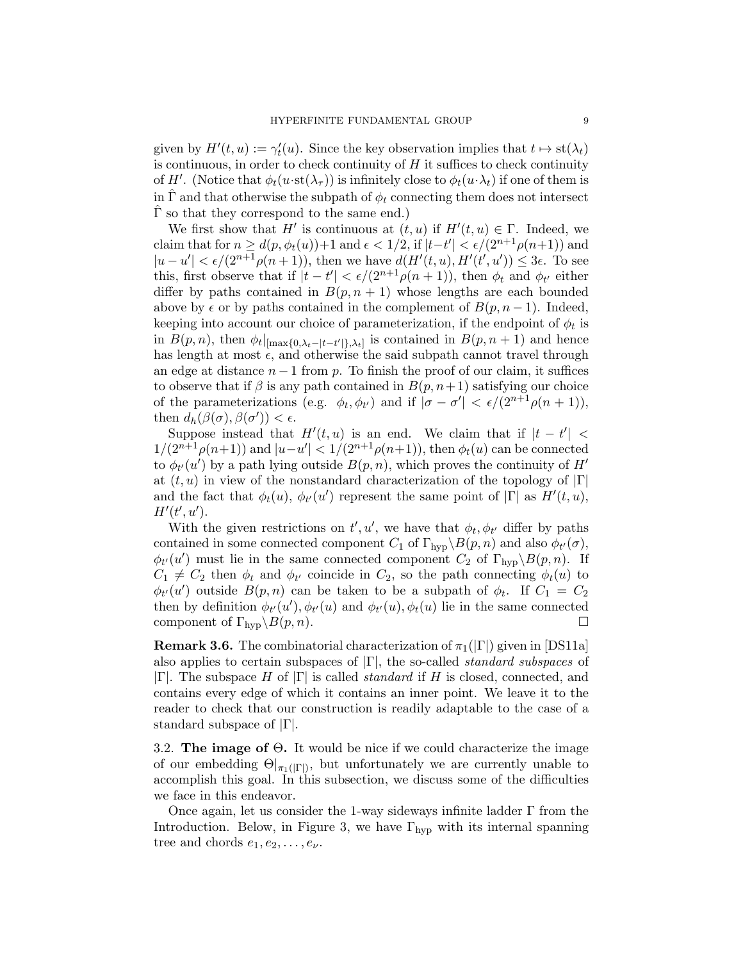given by  $H'(t, u) := \gamma'_t(u)$ . Since the key observation implies that  $t \mapsto \text{st}(\lambda_t)$ is continuous, in order to check continuity of  $H$  it suffices to check continuity of H'. (Notice that  $\phi_t(u\cdot st(\lambda_\tau))$  is infinitely close to  $\phi_t(u\cdot \lambda_t)$  if one of them is in  $\Gamma$  and that otherwise the subpath of  $\phi_t$  connecting them does not intersect  $\Gamma$  so that they correspond to the same end.)

We first show that H' is continuous at  $(t, u)$  if  $H'(t, u) \in \Gamma$ . Indeed, we claim that for  $n \geq d(p, \phi_t(u)) + 1$  and  $\epsilon < 1/2$ , if  $|t-t'| < \epsilon/(2^{n+1}\rho(n+1))$  and  $|u-u'| < \epsilon/(2^{n+1}\rho(n+1))$ , then we have  $d(H'(t,u), H'(t',u')) \leq 3\epsilon$ . To see this, first observe that if  $|t-t'| < \epsilon/(2^{n+1}\rho(n+1))$ , then  $\phi_t$  and  $\phi_{t'}$  either differ by paths contained in  $B(p, n + 1)$  whose lengths are each bounded above by  $\epsilon$  or by paths contained in the complement of  $B(p, n-1)$ . Indeed, keeping into account our choice of parameterization, if the endpoint of  $\phi_t$  is in  $B(p,n)$ , then  $\phi_t|_{[\max\{0,\lambda_t-|t-t'|\},\lambda_t]}$  is contained in  $B(p,n+1)$  and hence has length at most  $\epsilon$ , and otherwise the said subpath cannot travel through an edge at distance  $n-1$  from p. To finish the proof of our claim, it suffices to observe that if  $\beta$  is any path contained in  $B(p, n+1)$  satisfying our choice of the parameterizations (e.g.  $\phi_t, \phi_{t'}$ ) and if  $|\sigma - \sigma'| < \epsilon/(2^{n+1}\rho(n+1)),$ then  $d_h(\beta(\sigma), \beta(\sigma')) < \epsilon$ .

Suppose instead that  $H'(t, u)$  is an end. We claim that if  $|t - t'| <$  $1/(2^{n+1}\rho(n+1))$  and  $|u-u'| < 1/(2^{n+1}\rho(n+1))$ , then  $\phi_t(u)$  can be connected to  $\phi_{t'}(u')$  by a path lying outside  $B(p, n)$ , which proves the continuity of  $H'$ at  $(t, u)$  in view of the nonstandard characterization of the topology of  $|\Gamma|$ and the fact that  $\phi_t(u)$ ,  $\phi_{t'}(u')$  represent the same point of  $|\Gamma|$  as  $H'(t, u)$ ,  $H'(t',u').$ 

With the given restrictions on  $t', u'$ , we have that  $\phi_t, \phi_{t'}$  differ by paths contained in some connected component  $C_1$  of  $\Gamma_{\text{hyp}}\backslash B(p,n)$  and also  $\phi_{t'}(\sigma)$ ,  $\phi_{t'}(u')$  must lie in the same connected component  $C_2$  of  $\Gamma_{\text{hyp}}\backslash B(p, n)$ . If  $C_1 \neq C_2$  then  $\phi_t$  and  $\phi_{t'}$  coincide in  $C_2$ , so the path connecting  $\phi_t(u)$  to  $\phi_{t'}(u')$  outside  $B(p,n)$  can be taken to be a subpath of  $\phi_t$ . If  $C_1 = C_2$ then by definition  $\phi_{t'}(u'), \phi_{t'}(u)$  and  $\phi_{t'}(u), \phi_t(u)$  lie in the same connected component of  $\Gamma_{\text{hyp}}\backslash B(p, n)$ .

**Remark 3.6.** The combinatorial characterization of  $\pi_1(|\Gamma|)$  given in [DS11a] also applies to certain subspaces of  $|\Gamma|$ , the so-called *standard subspaces* of  $|\Gamma|$ . The subspace H of  $|\Gamma|$  is called *standard* if H is closed, connected, and contains every edge of which it contains an inner point. We leave it to the reader to check that our construction is readily adaptable to the case of a standard subspace of |Γ|.

3.2. The image of Θ. It would be nice if we could characterize the image of our embedding  $\Theta|_{\pi_1(|\Gamma|)}$ , but unfortunately we are currently unable to accomplish this goal. In this subsection, we discuss some of the difficulties we face in this endeavor.

Once again, let us consider the 1-way sideways infinite ladder Γ from the Introduction. Below, in Figure 3, we have  $\Gamma_{\rm hvp}$  with its internal spanning tree and chords  $e_1, e_2, \ldots, e_{\nu}$ .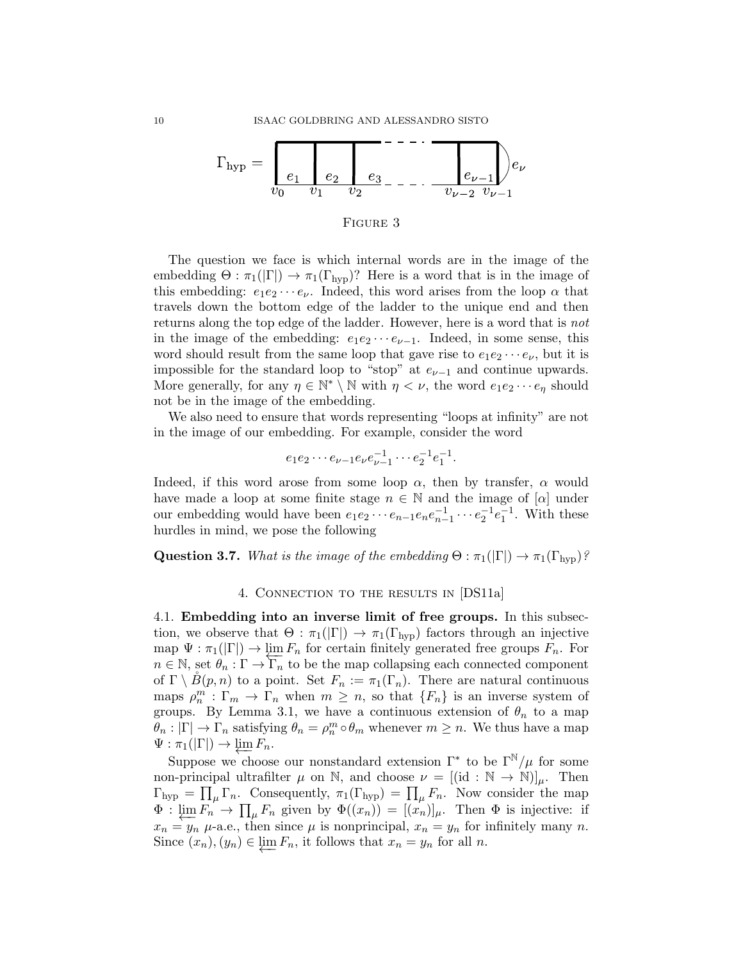

#### FIGURE 3

The question we face is which internal words are in the image of the embedding  $\Theta : \pi_1(|\Gamma|) \to \pi_1(\Gamma_{\text{hyp}})$ ? Here is a word that is in the image of this embedding:  $e_1e_2\cdots e_{\nu}$ . Indeed, this word arises from the loop  $\alpha$  that travels down the bottom edge of the ladder to the unique end and then returns along the top edge of the ladder. However, here is a word that is not in the image of the embedding:  $e_1e_2 \cdots e_{\nu-1}$ . Indeed, in some sense, this word should result from the same loop that gave rise to  $e_1e_2 \cdots e_{\nu}$ , but it is impossible for the standard loop to "stop" at  $e_{\nu-1}$  and continue upwards. More generally, for any  $\eta \in \mathbb{N}^* \setminus \mathbb{N}$  with  $\eta < \nu$ , the word  $e_1e_2 \cdots e_\eta$  should not be in the image of the embedding.

We also need to ensure that words representing "loops at infinity" are not in the image of our embedding. For example, consider the word

$$
e_1e_2\cdots e_{\nu-1}e_{\nu}e_{\nu-1}^{-1}\cdots e_2^{-1}e_1^{-1}.
$$

Indeed, if this word arose from some loop  $\alpha$ , then by transfer,  $\alpha$  would have made a loop at some finite stage  $n \in \mathbb{N}$  and the image of [ $\alpha$ ] under our embedding would have been  $e_1e_2 \cdots e_{n-1}e_ne_{n-1}^{-1} \cdots e_2^{-1}e_1^{-1}$ . With these hurdles in mind, we pose the following

**Question 3.7.** What is the image of the embedding  $\Theta : \pi_1(|\Gamma|) \to \pi_1(\Gamma_{\text{hyp}})$ ?

## 4. Connection to the results in [DS11a]

4.1. Embedding into an inverse limit of free groups. In this subsection, we observe that  $\Theta : \pi_1(|\Gamma|) \to \pi_1(\Gamma_{\rm hyp})$  factors through an injective  $\text{map } \Psi : \pi_1(|\Gamma|) \to \lim_{n \to \infty} F_n$  for certain finitely generated free groups  $F_n$ . For  $n \in \mathbb{N}$ , set  $\theta_n : \Gamma \to \Gamma_n$  to be the map collapsing each connected component of  $\Gamma \setminus \check{B}(p,n)$  to a point. Set  $F_n := \pi_1(\Gamma_n)$ . There are natural continuous maps  $\rho_n^m : \Gamma_m \to \Gamma_n$  when  $m \geq n$ , so that  $\{F_n\}$  is an inverse system of groups. By Lemma 3.1, we have a continuous extension of  $\theta_n$  to a map  $\theta_n : |\Gamma| \to \Gamma_n$  satisfying  $\theta_n = \rho_n^m \circ \theta_m$  whenever  $m \geq n$ . We thus have a map  $\Psi : \pi_1(|\Gamma|) \to \varprojlim F_n.$ 

Suppose we choose our nonstandard extension  $\Gamma^*$  to be  $\Gamma^{\mathbb{N}}/\mu$  for some non-principal ultrafilter  $\mu$  on N, and choose  $\nu = [(\text{id} : \mathbb{N} \to \mathbb{N})]_{\mu}$ . Then  $\Gamma_{\rm hyp} = \prod_{\mu} \Gamma_n$ . Consequently,  $\pi_1(\Gamma_{\rm hyp}) = \prod_{\mu} F_n$ . Now consider the map  $\Phi: \varprojlim F_n \to \prod_\mu F_n$  given by  $\Phi((x_n)) = [(x_n)]_\mu$ . Then  $\Phi$  is injective: if  $x_n = y_n$   $\mu$ -a.e., then since  $\mu$  is nonprincipal,  $x_n = y_n$  for infinitely many n. Since  $(x_n), (y_n) \in \varprojlim F_n$ , it follows that  $x_n = y_n$  for all n.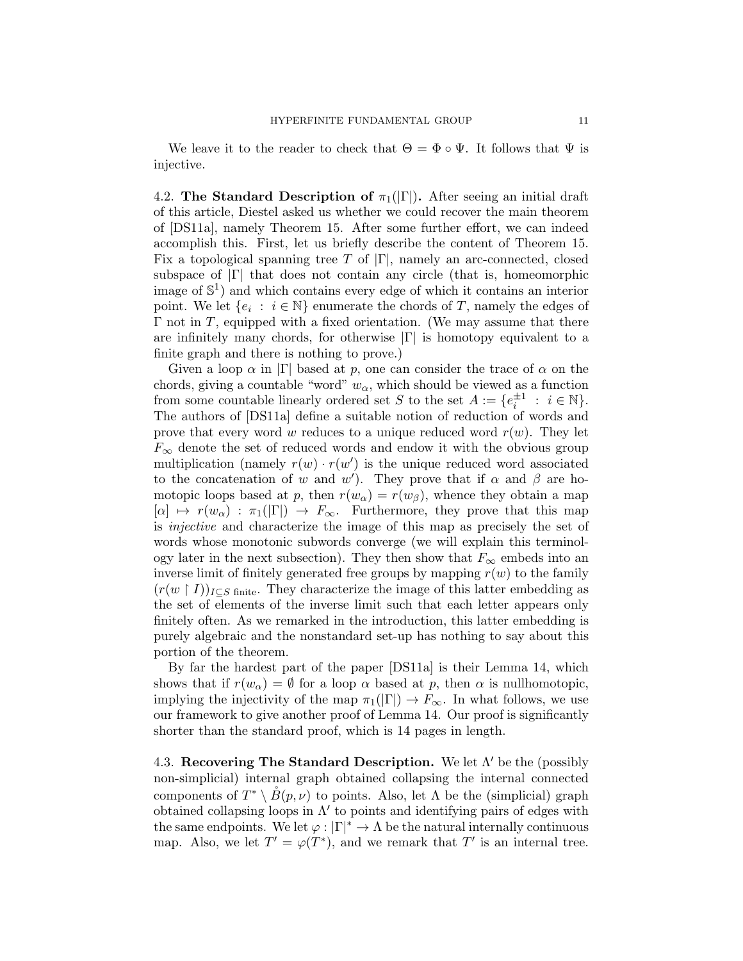We leave it to the reader to check that  $\Theta = \Phi \circ \Psi$ . It follows that  $\Psi$  is injective.

4.2. The Standard Description of  $\pi_1(|\Gamma|)$ . After seeing an initial draft of this article, Diestel asked us whether we could recover the main theorem of [DS11a], namely Theorem 15. After some further effort, we can indeed accomplish this. First, let us briefly describe the content of Theorem 15. Fix a topological spanning tree T of  $|\Gamma|$ , namely an arc-connected, closed subspace of  $|\Gamma|$  that does not contain any circle (that is, homeomorphic image of S 1 ) and which contains every edge of which it contains an interior point. We let  $\{e_i : i \in \mathbb{N}\}\$ enumerate the chords of T, namely the edges of  $\Gamma$  not in T, equipped with a fixed orientation. (We may assume that there are infinitely many chords, for otherwise  $|\Gamma|$  is homotopy equivalent to a finite graph and there is nothing to prove.)

Given a loop  $\alpha$  in  $|\Gamma|$  based at p, one can consider the trace of  $\alpha$  on the chords, giving a countable "word"  $w_{\alpha}$ , which should be viewed as a function from some countable linearly ordered set S to the set  $A := \{e_i^{\pm 1} : i \in \mathbb{N}\}.$ The authors of [DS11a] define a suitable notion of reduction of words and prove that every word w reduces to a unique reduced word  $r(w)$ . They let  $F_{\infty}$  denote the set of reduced words and endow it with the obvious group multiplication (namely  $r(w) \cdot r(w')$  is the unique reduced word associated to the concatenation of w and w'). They prove that if  $\alpha$  and  $\beta$  are homotopic loops based at p, then  $r(w_0) = r(w_0)$ , whence they obtain a map  $[\alpha] \mapsto r(w_\alpha) : \pi_1(|\Gamma|) \to F_\infty$ . Furthermore, they prove that this map is injective and characterize the image of this map as precisely the set of words whose monotonic subwords converge (we will explain this terminology later in the next subsection). They then show that  $F_{\infty}$  embeds into an inverse limit of finitely generated free groups by mapping  $r(w)$  to the family  $(r(w | I))_{I \subset S}$  finite. They characterize the image of this latter embedding as the set of elements of the inverse limit such that each letter appears only finitely often. As we remarked in the introduction, this latter embedding is purely algebraic and the nonstandard set-up has nothing to say about this portion of the theorem.

By far the hardest part of the paper [DS11a] is their Lemma 14, which shows that if  $r(w_\alpha) = \emptyset$  for a loop  $\alpha$  based at p, then  $\alpha$  is nullhomotopic, implying the injectivity of the map  $\pi_1(|\Gamma|) \to F_\infty$ . In what follows, we use our framework to give another proof of Lemma 14. Our proof is significantly shorter than the standard proof, which is 14 pages in length.

4.3. Recovering The Standard Description. We let  $\Lambda'$  be the (possibly non-simplicial) internal graph obtained collapsing the internal connected components of  $T^* \setminus \overset{\circ}{B}(p,\nu)$  to points. Also, let  $\Lambda$  be the (simplicial) graph obtained collapsing loops in  $\Lambda'$  to points and identifying pairs of edges with the same endpoints. We let  $\varphi : |\Gamma|^* \to \Lambda$  be the natural internally continuous map. Also, we let  $T' = \varphi(T^*)$ , and we remark that T' is an internal tree.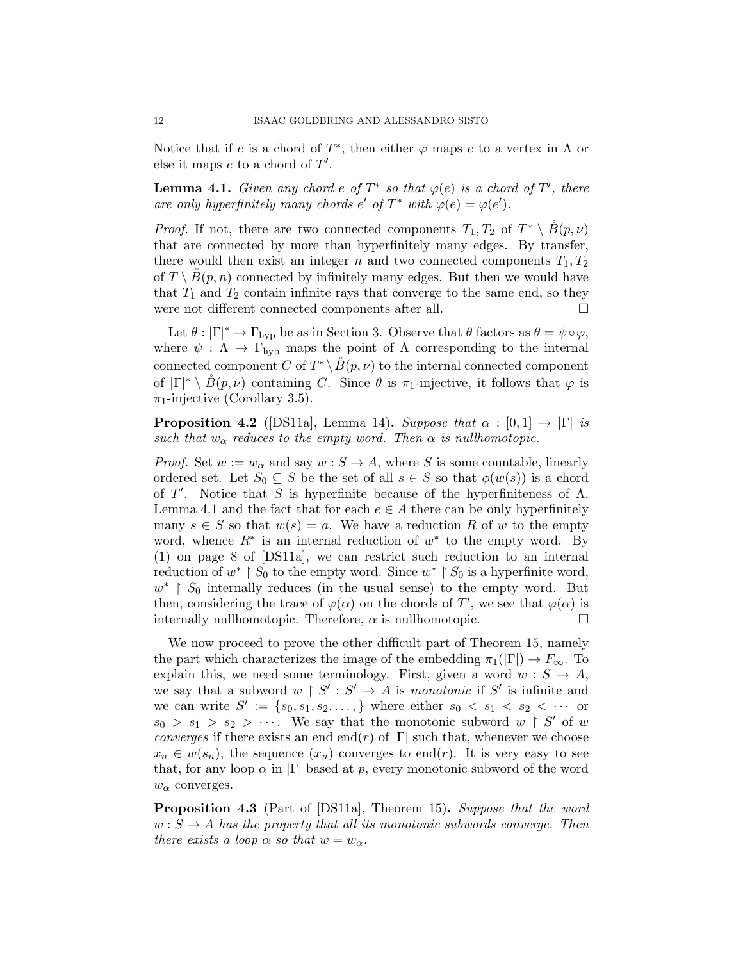Notice that if e is a chord of  $T^*$ , then either  $\varphi$  maps e to a vertex in  $\Lambda$  or else it maps  $e$  to a chord of  $T'$ .

**Lemma 4.1.** Given any chord e of  $T^*$  so that  $\varphi(e)$  is a chord of  $T'$ , there are only hyperfinitely many chords  $e'$  of  $T^*$  with  $\varphi(e) = \varphi(e')$ .

*Proof.* If not, there are two connected components  $T_1, T_2$  of  $T^* \setminus \overset{\circ}{B}(p, \nu)$ that are connected by more than hyperfinitely many edges. By transfer, there would then exist an integer n and two connected components  $T_1, T_2$ of  $T \setminus B(p, n)$  connected by infinitely many edges. But then we would have that  $T_1$  and  $T_2$  contain infinite rays that converge to the same end, so they were not different connected components after all.

Let  $\theta : |\Gamma|^* \to \Gamma_{\text{hyp}}$  be as in Section 3. Observe that  $\theta$  factors as  $\theta = \psi \circ \varphi$ , where  $\psi : \Lambda \to \Gamma_{\text{hyp}}$  maps the point of  $\Lambda$  corresponding to the internal connected component C of  $T^* \setminus \overset{\circ}{B}(p, \nu)$  to the internal connected component of  $|\Gamma|^* \setminus \overset{\circ}{B}(p,\nu)$  containing C. Since  $\theta$  is  $\pi_1$ -injective, it follows that  $\varphi$  is  $\pi_1$ -injective (Corollary 3.5).

**Proposition 4.2** ([DS11a], Lemma 14). Suppose that  $\alpha : [0,1] \rightarrow |\Gamma|$  is such that  $w_{\alpha}$  reduces to the empty word. Then  $\alpha$  is nullhomotopic.

*Proof.* Set  $w := w_\alpha$  and say  $w : S \to A$ , where S is some countable, linearly ordered set. Let  $S_0 \subseteq S$  be the set of all  $s \in S$  so that  $\phi(w(s))$  is a chord of  $T'$ . Notice that S is hyperfinite because of the hyperfiniteness of  $\Lambda$ , Lemma 4.1 and the fact that for each  $e \in A$  there can be only hyperfinitely many  $s \in S$  so that  $w(s) = a$ . We have a reduction R of w to the empty word, whence  $R^*$  is an internal reduction of  $w^*$  to the empty word. By (1) on page 8 of [DS11a], we can restrict such reduction to an internal reduction of  $w^* \restriction S_0$  to the empty word. Since  $w^* \restriction S_0$  is a hyperfinite word,  $w^*$  |  $S_0$  internally reduces (in the usual sense) to the empty word. But then, considering the trace of  $\varphi(\alpha)$  on the chords of T', we see that  $\varphi(\alpha)$  is internally nullhomotopic. Therefore,  $\alpha$  is nullhomotopic.  $\Box$ 

We now proceed to prove the other difficult part of Theorem 15, namely the part which characterizes the image of the embedding  $\pi_1(|\Gamma|) \to F_{\infty}$ . To explain this, we need some terminology. First, given a word  $w : S \to A$ , we say that a subword  $w \restriction S' : S' \to A$  is monotonic if S' is infinite and we can write  $S' := \{s_0, s_1, s_2, \ldots, \}$  where either  $s_0 < s_1 < s_2 < \cdots$  or  $s_0 > s_1 > s_2 > \cdots$ . We say that the monotonic subword  $w \restriction S'$  of w *converges* if there exists an end end(r) of  $|\Gamma|$  such that, whenever we choose  $x_n \in w(s_n)$ , the sequence  $(x_n)$  converges to end(*r*). It is very easy to see that, for any loop  $\alpha$  in  $|\Gamma|$  based at p, every monotonic subword of the word  $w_{\alpha}$  converges.

**Proposition 4.3** (Part of [DS11a], Theorem 15). Suppose that the word  $w : S \to A$  has the property that all its monotonic subwords converge. Then there exists a loop  $\alpha$  so that  $w = w_{\alpha}$ .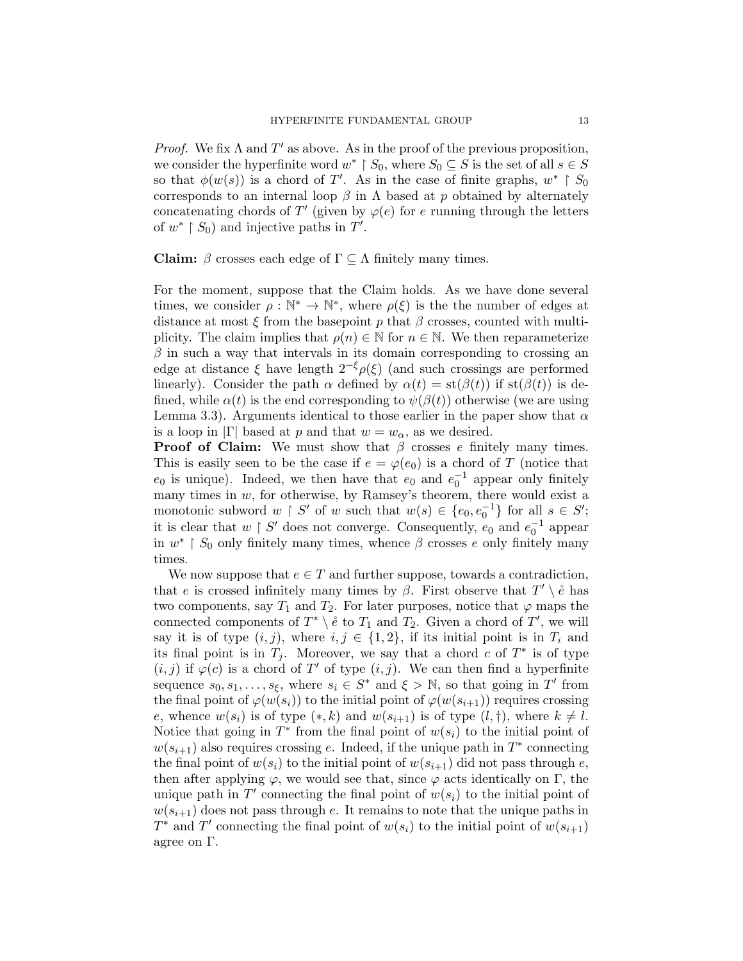*Proof.* We fix  $\Lambda$  and  $T'$  as above. As in the proof of the previous proposition, we consider the hyperfinite word  $w^*$  |  $S_0$ , where  $S_0 \subseteq S$  is the set of all  $s \in S$ so that  $\phi(w(s))$  is a chord of T'. As in the case of finite graphs,  $w^* \restriction S_0$ corresponds to an internal loop  $\beta$  in  $\Lambda$  based at p obtained by alternately concatenating chords of T' (given by  $\varphi(e)$  for e running through the letters of  $w^*$  |  $S_0$ ) and injective paths in  $T'$ .

Claim:  $\beta$  crosses each edge of  $\Gamma \subseteq \Lambda$  finitely many times.

For the moment, suppose that the Claim holds. As we have done several times, we consider  $\rho : \mathbb{N}^* \to \mathbb{N}^*$ , where  $\rho(\xi)$  is the the number of edges at distance at most  $\xi$  from the basepoint p that  $\beta$  crosses, counted with multiplicity. The claim implies that  $\rho(n) \in \mathbb{N}$  for  $n \in \mathbb{N}$ . We then reparameterize  $\beta$  in such a way that intervals in its domain corresponding to crossing an edge at distance  $\xi$  have length  $2^{-\xi} \rho(\xi)$  (and such crossings are performed linearly). Consider the path  $\alpha$  defined by  $\alpha(t) = \text{st}(\beta(t))$  if  $\text{st}(\beta(t))$  is defined, while  $\alpha(t)$  is the end corresponding to  $\psi(\beta(t))$  otherwise (we are using Lemma 3.3). Arguments identical to those earlier in the paper show that  $\alpha$ is a loop in  $|\Gamma|$  based at p and that  $w = w_\alpha$ , as we desired.

**Proof of Claim:** We must show that  $\beta$  crosses e finitely many times. This is easily seen to be the case if  $e = \varphi(e_0)$  is a chord of T (notice that  $e_0$  is unique). Indeed, we then have that  $e_0$  and  $e_0^{-1}$  appear only finitely many times in  $w$ , for otherwise, by Ramsey's theorem, there would exist a monotonic subword  $w \restriction S'$  of w such that  $w(s) \in \{e_0, e_0^{-1}\}\$ for all  $s \in S'$ ; it is clear that  $w \restriction S'$  does not converge. Consequently,  $e_0$  and  $e_0^{-1}$  appear in  $w^*$  |  $S_0$  only finitely many times, whence  $\beta$  crosses e only finitely many times.

We now suppose that  $e \in T$  and further suppose, towards a contradiction, that e is crossed infinitely many times by  $\beta$ . First observe that  $T' \setminus \mathring{e}$  has two components, say  $T_1$  and  $T_2$ . For later purposes, notice that  $\varphi$  maps the connected components of  $T^* \setminus e$  to  $T_1$  and  $T_2$ . Given a chord of  $T'$ , we will say it is of type  $(i, j)$ , where  $i, j \in \{1, 2\}$ , if its initial point is in  $T_i$  and its final point is in  $T_j$ . Moreover, we say that a chord c of  $T^*$  is of type  $(i, j)$  if  $\varphi(c)$  is a chord of T' of type  $(i, j)$ . We can then find a hyperfinite sequence  $s_0, s_1, \ldots, s_{\xi}$ , where  $s_i \in S^*$  and  $\xi > \mathbb{N}$ , so that going in T' from the final point of  $\varphi(w(s_i))$  to the initial point of  $\varphi(w(s_{i+1}))$  requires crossing e, whence  $w(s_i)$  is of type  $(*, k)$  and  $w(s_{i+1})$  is of type  $(l, \dagger)$ , where  $k \neq l$ . Notice that going in  $T^*$  from the final point of  $w(s_i)$  to the initial point of  $w(s_{i+1})$  also requires crossing e. Indeed, if the unique path in  $T^*$  connecting the final point of  $w(s_i)$  to the initial point of  $w(s_{i+1})$  did not pass through e, then after applying  $\varphi$ , we would see that, since  $\varphi$  acts identically on  $\Gamma$ , the unique path in  $T'$  connecting the final point of  $w(s_i)$  to the initial point of  $w(s_{i+1})$  does not pass through e. It remains to note that the unique paths in  $T^*$  and  $T'$  connecting the final point of  $w(s_i)$  to the initial point of  $w(s_{i+1})$ agree on Γ.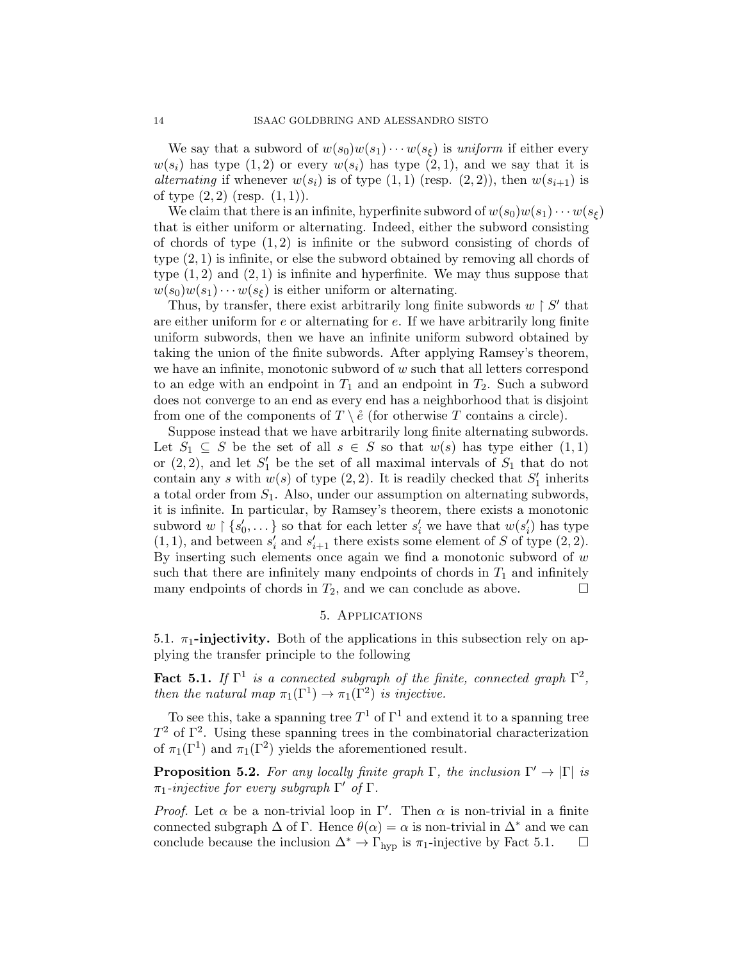We say that a subword of  $w(s_0)w(s_1)\cdots w(s_{\ell})$  is uniform if either every  $w(s_i)$  has type  $(1, 2)$  or every  $w(s_i)$  has type  $(2, 1)$ , and we say that it is alternating if whenever  $w(s_i)$  is of type  $(1, 1)$  (resp.  $(2, 2)$ ), then  $w(s_{i+1})$  is of type  $(2, 2)$  (resp.  $(1, 1)$ ).

We claim that there is an infinite, hyperfinite subword of  $w(s_0)w(s_1)\cdots w(s_\ell)$ that is either uniform or alternating. Indeed, either the subword consisting of chords of type  $(1, 2)$  is infinite or the subword consisting of chords of type (2, 1) is infinite, or else the subword obtained by removing all chords of type  $(1, 2)$  and  $(2, 1)$  is infinite and hyperfinite. We may thus suppose that  $w(s_0)w(s_1)\cdots w(s_{\xi})$  is either uniform or alternating.

Thus, by transfer, there exist arbitrarily long finite subwords  $w \restriction S'$  that are either uniform for e or alternating for e. If we have arbitrarily long finite uniform subwords, then we have an infinite uniform subword obtained by taking the union of the finite subwords. After applying Ramsey's theorem, we have an infinite, monotonic subword of  $w$  such that all letters correspond to an edge with an endpoint in  $T_1$  and an endpoint in  $T_2$ . Such a subword does not converge to an end as every end has a neighborhood that is disjoint from one of the components of  $T \setminus \hat{e}$  (for otherwise T contains a circle).

Suppose instead that we have arbitrarily long finite alternating subwords. Let  $S_1 \subseteq S$  be the set of all  $s \in S$  so that  $w(s)$  has type either  $(1,1)$ or  $(2, 2)$ , and let  $S'_1$  be the set of all maximal intervals of  $S_1$  that do not contain any s with  $w(s)$  of type  $(2, 2)$ . It is readily checked that  $S'_1$  inherits a total order from  $S_1$ . Also, under our assumption on alternating subwords, it is infinite. In particular, by Ramsey's theorem, there exists a monotonic subword  $w \upharpoonright \{s'_0, \dots\}$  so that for each letter  $s'_i$  we have that  $w(s'_i)$  has type  $(1, 1)$ , and between  $s'_i$  and  $s'_{i+1}$  there exists some element of S of type  $(2, 2)$ . By inserting such elements once again we find a monotonic subword of  $w$ such that there are infinitely many endpoints of chords in  $T_1$  and infinitely many endpoints of chords in  $T_2$ , and we can conclude as above.  $\Box$ 

## 5. Applications

5.1.  $\pi_1$ -injectivity. Both of the applications in this subsection rely on applying the transfer principle to the following

**Fact 5.1.** If  $\Gamma^1$  is a connected subgraph of the finite, connected graph  $\Gamma^2$ , then the natural map  $\pi_1(\Gamma^1) \to \pi_1(\Gamma^2)$  is injective.

To see this, take a spanning tree  $T^1$  of  $\Gamma^1$  and extend it to a spanning tree  $T^2$  of  $\Gamma^2$ . Using these spanning trees in the combinatorial characterization of  $\pi_1(\Gamma^1)$  and  $\pi_1(\Gamma^2)$  yields the aforementioned result.

**Proposition 5.2.** For any locally finite graph  $\Gamma$ , the inclusion  $\Gamma' \to |\Gamma|$  is  $\pi_1$ -injective for every subgraph  $\Gamma'$  of  $\Gamma$ .

*Proof.* Let  $\alpha$  be a non-trivial loop in Γ'. Then  $\alpha$  is non-trivial in a finite connected subgraph  $\Delta$  of  $\Gamma$ . Hence  $\theta(\alpha) = \alpha$  is non-trivial in  $\Delta^*$  and we can conclude because the inclusion  $\Delta^* \to \Gamma_{\text{hyp}}$  is  $\pi_1$ -injective by Fact 5.1.  $\Box$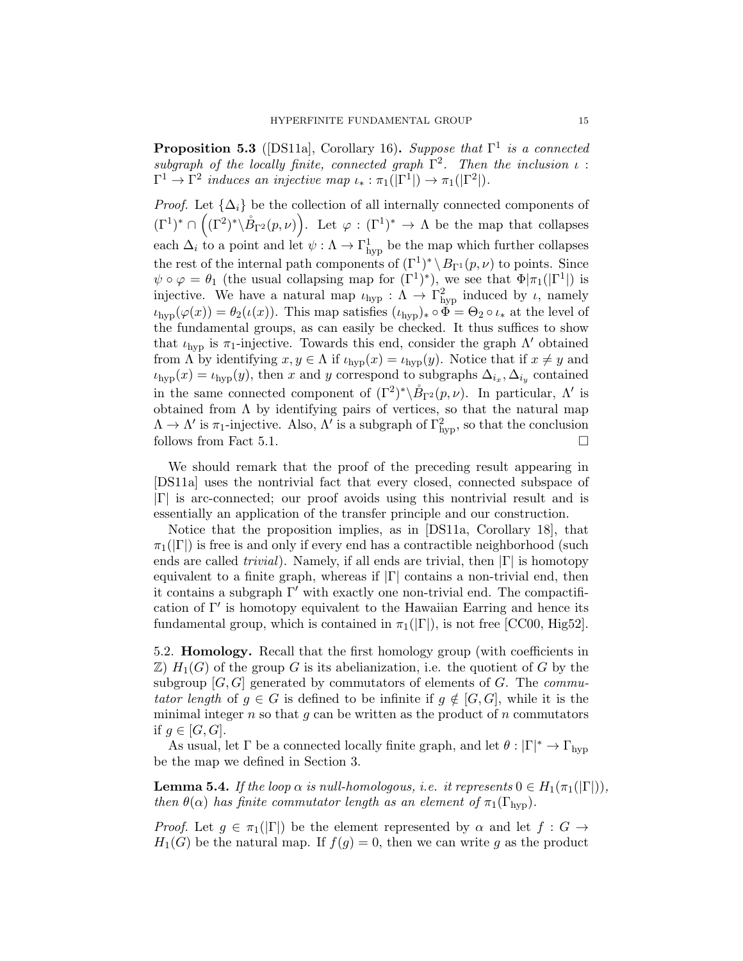**Proposition 5.3** ([DS11a], Corollary 16). Suppose that  $\Gamma^1$  is a connected subgraph of the locally finite, connected graph  $\Gamma^2$ . Then the inclusion  $\iota$ :  $\Gamma^1 \to \Gamma^2$  induces an injective map  $\iota_* : \pi_1(|\Gamma^1|) \to \pi_1(|\Gamma^2|)$ .

*Proof.* Let  $\{\Delta_i\}$  be the collection of all internally connected components of  $(\Gamma^1)^* \cap ((\Gamma^2)^* \backslash \mathring{B}_{\Gamma^2}(p,\nu)).$  Let  $\varphi : (\Gamma^1)^* \to \Lambda$  be the map that collapses each  $\Delta_i$  to a point and let  $\psi : \Lambda \to \Gamma^1_{\text{hyp}}$  be the map which further collapses the rest of the internal path components of  $(\Gamma^1)^* \setminus B_{\Gamma^1}(p,\nu)$  to points. Since  $\psi \circ \varphi = \theta_1$  (the usual collapsing map for  $(\Gamma^1)^*$ ), we see that  $\Phi | \pi_1(|\Gamma^1|)$  is injective. We have a natural map  $\iota_{\text{hyp}} : \Lambda \to \Gamma_{\text{hyp}}^2$  induced by  $\iota$ , namely  $\iota_{\text{hyp}}(\varphi(x)) = \theta_2(\iota(x))$ . This map satisfies  $(\iota_{\text{hyp}})_* \circ \Phi = \Theta_2 \circ \iota_*$  at the level of the fundamental groups, as can easily be checked. It thus suffices to show that  $\iota_{\text{hvp}}$  is  $\pi_1$ -injective. Towards this end, consider the graph  $\Lambda'$  obtained from  $\Lambda$  by identifying  $x, y \in \Lambda$  if  $\iota_{\text{hyp}}(x) = \iota_{\text{hyp}}(y)$ . Notice that if  $x \neq y$  and  $\iota_{\text{hyp}}(x) = \iota_{\text{hyp}}(y)$ , then x and y correspond to subgraphs  $\Delta_{i_x}, \Delta_{i_y}$  contained in the same connected component of  $({\Gamma}^2)^* \backslash \overset{\circ}{B}_{\Gamma^2}(p,\nu)$ . In particular,  $\Lambda'$  is obtained from  $\Lambda$  by identifying pairs of vertices, so that the natural map  $\Lambda \to \Lambda'$  is  $\pi_1$ -injective. Also,  $\Lambda'$  is a subgraph of  $\Gamma_{\rm hyp}^2$ , so that the conclusion follows from Fact 5.1.  $\Box$ 

We should remark that the proof of the preceding result appearing in [DS11a] uses the nontrivial fact that every closed, connected subspace of |Γ| is arc-connected; our proof avoids using this nontrivial result and is essentially an application of the transfer principle and our construction.

Notice that the proposition implies, as in [DS11a, Corollary 18], that  $\pi_1(|\Gamma|)$  is free is and only if every end has a contractible neighborhood (such ends are called *trivial*). Namely, if all ends are trivial, then  $|\Gamma|$  is homotopy equivalent to a finite graph, whereas if  $|\Gamma|$  contains a non-trivial end, then it contains a subgraph  $\Gamma'$  with exactly one non-trivial end. The compactification of  $\Gamma'$  is homotopy equivalent to the Hawaiian Earring and hence its fundamental group, which is contained in  $\pi_1(|\Gamma|)$ , is not free [CC00, Hig52].

5.2. Homology. Recall that the first homology group (with coefficients in  $\mathbb{Z}$ )  $H_1(G)$  of the group G is its abelianization, i.e. the quotient of G by the subgroup  $[G, G]$  generated by commutators of elements of G. The *commu*tator length of  $g \in G$  is defined to be infinite if  $g \notin [G, G]$ , while it is the minimal integer  $n$  so that  $g$  can be written as the product of  $n$  commutators if  $q \in [G, G]$ .

As usual, let  $\Gamma$  be a connected locally finite graph, and let  $\theta : |\Gamma|^* \to \Gamma_{\text{hyp}}$ be the map we defined in Section 3.

**Lemma 5.4.** If the loop  $\alpha$  is null-homologous, i.e. it represents  $0 \in H_1(\pi_1(|\Gamma|)),$ then  $\theta(\alpha)$  has finite commutator length as an element of  $\pi_1(\Gamma_{\text{hvo}})$ .

*Proof.* Let  $g \in \pi_1(|\Gamma|)$  be the element represented by  $\alpha$  and let  $f : G \rightarrow$  $H_1(G)$  be the natural map. If  $f(q) = 0$ , then we can write q as the product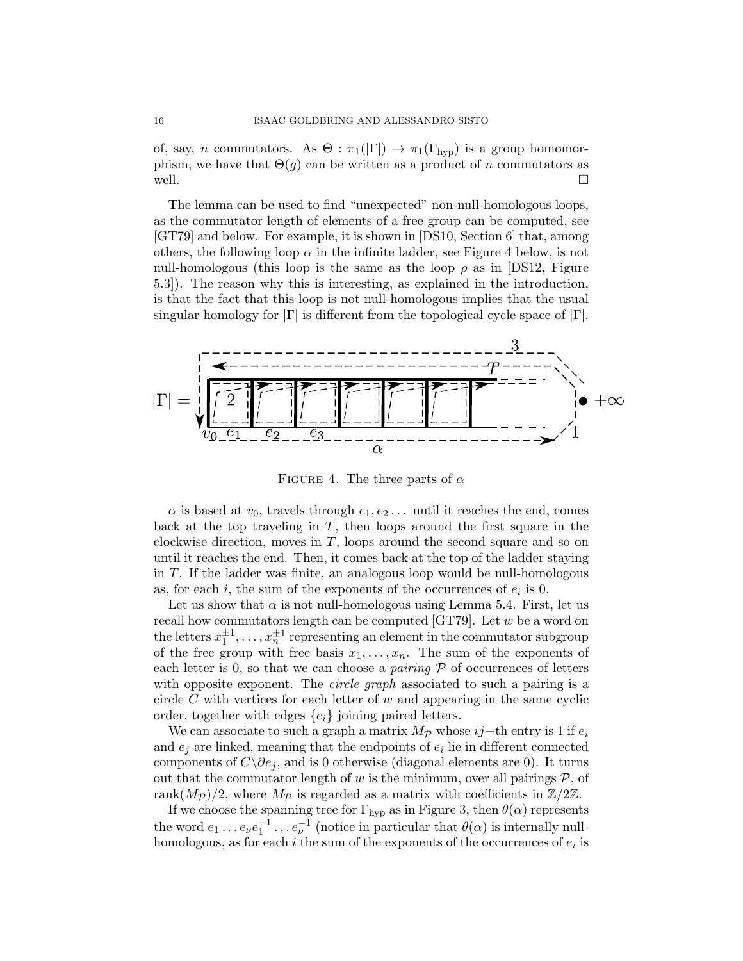of, say, n commutators. As  $\Theta$ :  $\pi_1(|\Gamma|) \to \pi_1(\Gamma_{\rm hvp})$  is a group homomorphism, we have that  $\Theta(g)$  can be written as a product of n commutators as well.  $\Box$ 

The lemma can be used to find "unexpected" non-null-homologous loops, as the commutator length of elements of a free group can be computed, see [GT79] and below. For example, it is shown in [DS10, Section 6] that, among others, the following loop  $\alpha$  in the infinite ladder, see Figure 4 below, is not null-homologous (this loop is the same as the loop  $\rho$  as in [DS12, Figure 5.3]). The reason why this is interesting, as explained in the introduction, is that the fact that this loop is not null-homologous implies that the usual singular homology for  $|\Gamma|$  is different from the topological cycle space of  $|\Gamma|$ .



FIGURE 4. The three parts of  $\alpha$ 

 $\alpha$  is based at  $v_0$ , travels through  $e_1, e_2, \ldots$  until it reaches the end, comes back at the top traveling in  $T$ , then loops around the first square in the clockwise direction, moves in  $T$ , loops around the second square and so on until it reaches the end. Then, it comes back at the top of the ladder staying in T. If the ladder was finite, an analogous loop would be null-homologous as, for each  $i$ , the sum of the exponents of the occurrences of  $e_i$  is 0.

Let us show that  $\alpha$  is not null-homologous using Lemma 5.4. First, let us recall how commutators length can be computed [GT79]. Let  $w$  be a word on the letters  $x_1^{\pm 1}, \ldots, x_n^{\pm 1}$  representing an element in the commutator subgroup of the free group with free basis  $x_1, \ldots, x_n$ . The sum of the exponents of each letter is 0, so that we can choose a *pairing*  $\mathcal P$  of occurrences of letters with opposite exponent. The *circle graph* associated to such a pairing is a circle  $C$  with vertices for each letter of  $w$  and appearing in the same cyclic order, together with edges  $\{e_i\}$  joining paired letters.

We can associate to such a graph a matrix  $M_p$  whose  $ij$ −th entry is 1 if  $e_i$ and  $e_j$  are linked, meaning that the endpoints of  $e_i$  lie in different connected components of  $C\setminus \partial e_j$ , and is 0 otherwise (diagonal elements are 0). It turns out that the commutator length of  $w$  is the minimum, over all pairings  $P$ , of rank $(M_{\mathcal{P}})/2$ , where  $M_{\mathcal{P}}$  is regarded as a matrix with coefficients in  $\mathbb{Z}/2\mathbb{Z}$ .

If we choose the spanning tree for  $\Gamma_{\text{hyp}}$  as in Figure 3, then  $\theta(\alpha)$  represents the word  $e_1 \dots e_{\nu} e_1^{-1} \dots e_{\nu}^{-1}$  (notice in particular that  $\theta(\alpha)$  is internally nullhomologous, as for each  $i$  the sum of the exponents of the occurrences of  $e_i$  is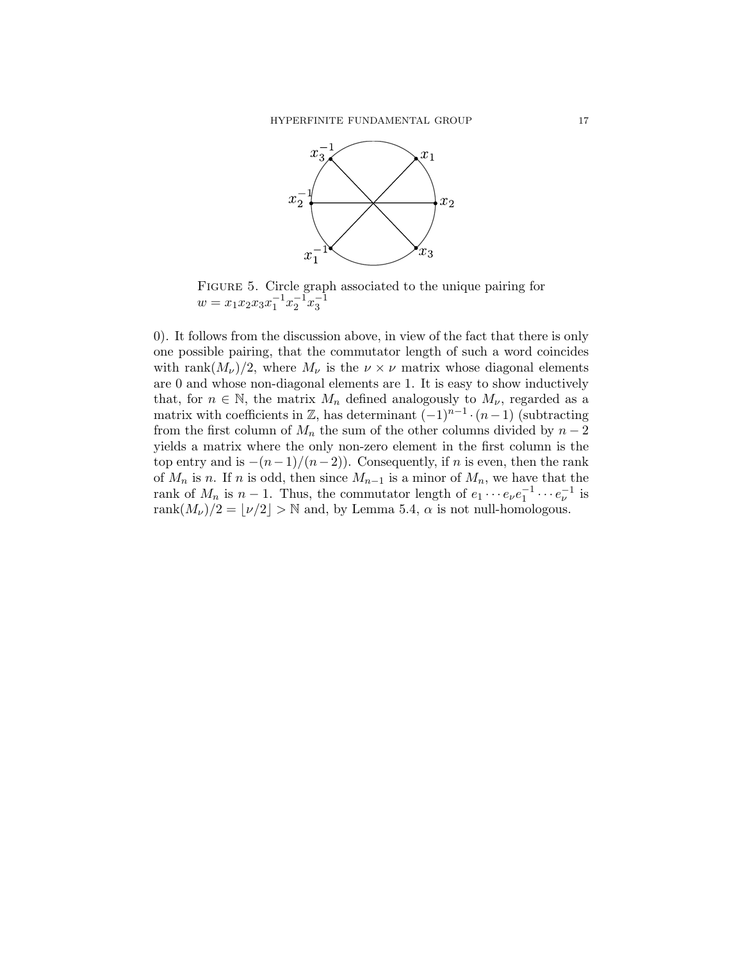

FIGURE 5. Circle graph associated to the unique pairing for  $w = x_1 x_2 x_3 x_1^{-1} x_2^{-1} x_3^{-1}$ 

0). It follows from the discussion above, in view of the fact that there is only one possible pairing, that the commutator length of such a word coincides with rank $(M_{\nu})/2$ , where  $M_{\nu}$  is the  $\nu \times \nu$  matrix whose diagonal elements are 0 and whose non-diagonal elements are 1. It is easy to show inductively that, for  $n \in \mathbb{N}$ , the matrix  $M_n$  defined analogously to  $M_{\nu}$ , regarded as a matrix with coefficients in  $\mathbb{Z}$ , has determinant  $(-1)^{n-1} \cdot (n-1)$  (subtracting from the first column of  $M_n$  the sum of the other columns divided by  $n-2$ yields a matrix where the only non-zero element in the first column is the top entry and is  $-(n-1)/(n-2)$ ). Consequently, if n is even, then the rank of  $M_n$  is n. If n is odd, then since  $M_{n-1}$  is a minor of  $M_n$ , we have that the rank of  $M_n$  is  $n-1$ . Thus, the commutator length of  $e_1 \cdots e_{\nu} e_1^{-1} \cdots e_{\nu}^{-1}$  is rank $(M_{\nu})/2 = |\nu/2| > \mathbb{N}$  and, by Lemma 5.4,  $\alpha$  is not null-homologous.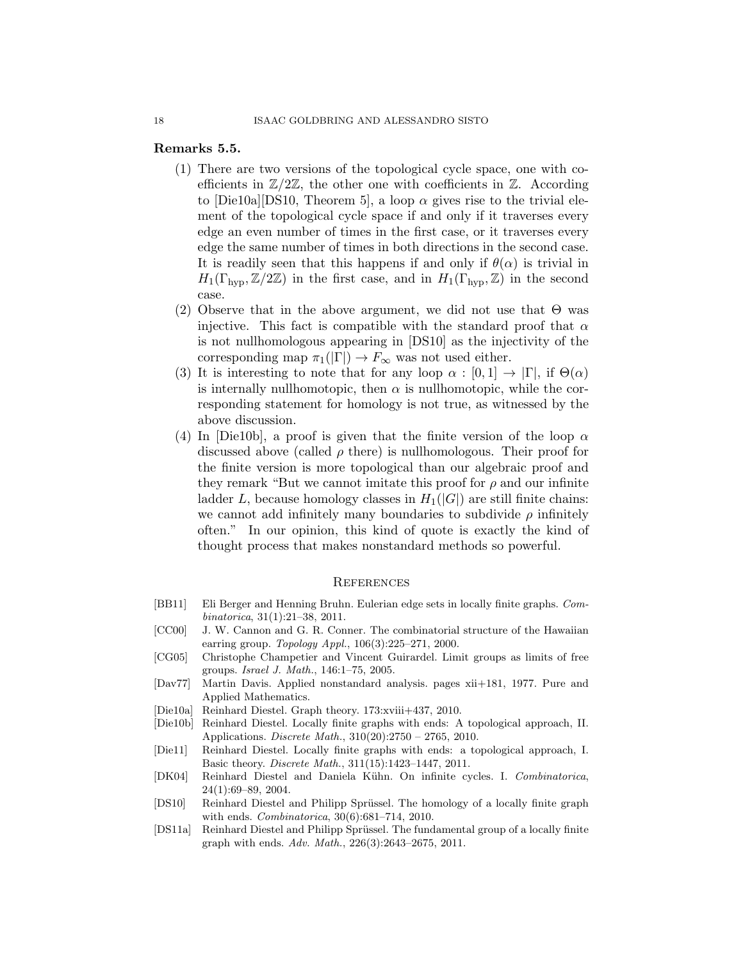## Remarks 5.5.

- (1) There are two versions of the topological cycle space, one with coefficients in  $\mathbb{Z}/2\mathbb{Z}$ , the other one with coefficients in  $\mathbb{Z}$ . According to [Die10a][DS10, Theorem 5], a loop  $\alpha$  gives rise to the trivial element of the topological cycle space if and only if it traverses every edge an even number of times in the first case, or it traverses every edge the same number of times in both directions in the second case. It is readily seen that this happens if and only if  $\theta(\alpha)$  is trivial in  $H_1(\Gamma_{\rm hyp}, \mathbb{Z}/2\mathbb{Z})$  in the first case, and in  $H_1(\Gamma_{\rm hyp}, \mathbb{Z})$  in the second case.
- (2) Observe that in the above argument, we did not use that  $\Theta$  was injective. This fact is compatible with the standard proof that  $\alpha$ is not nullhomologous appearing in [DS10] as the injectivity of the corresponding map  $\pi_1(|\Gamma|) \to F_\infty$  was not used either.
- (3) It is interesting to note that for any loop  $\alpha : [0,1] \to |\Gamma|$ , if  $\Theta(\alpha)$ is internally nullhomotopic, then  $\alpha$  is nullhomotopic, while the corresponding statement for homology is not true, as witnessed by the above discussion.
- (4) In [Die10b], a proof is given that the finite version of the loop  $\alpha$ discussed above (called  $\rho$  there) is nullhomologous. Their proof for the finite version is more topological than our algebraic proof and they remark "But we cannot imitate this proof for  $\rho$  and our infinite ladder L, because homology classes in  $H_1(|G|)$  are still finite chains: we cannot add infinitely many boundaries to subdivide  $\rho$  infinitely often." In our opinion, this kind of quote is exactly the kind of thought process that makes nonstandard methods so powerful.

### **REFERENCES**

- [BB11] Eli Berger and Henning Bruhn. Eulerian edge sets in locally finite graphs. Combinatorica, 31(1):21–38, 2011.
- [CC00] J. W. Cannon and G. R. Conner. The combinatorial structure of the Hawaiian earring group.  $Topology Appl., 106(3):225-271, 2000.$
- [CG05] Christophe Champetier and Vincent Guirardel. Limit groups as limits of free groups. Israel J. Math., 146:1–75, 2005.
- [Dav77] Martin Davis. Applied nonstandard analysis. pages xii+181, 1977. Pure and Applied Mathematics.
- [Die10a] Reinhard Diestel. Graph theory. 173:xviii+437, 2010.
- [Die10b] Reinhard Diestel. Locally finite graphs with ends: A topological approach, II. Applications. Discrete Math., 310(20):2750 – 2765, 2010.
- [Die11] Reinhard Diestel. Locally finite graphs with ends: a topological approach, I. Basic theory. Discrete Math., 311(15):1423–1447, 2011.
- [DK04] Reinhard Diestel and Daniela Kühn. On infinite cycles. I. Combinatorica, 24(1):69–89, 2004.
- [DS10] Reinhard Diestel and Philipp Sprüssel. The homology of a locally finite graph with ends. Combinatorica, 30(6):681–714, 2010.
- [DS11a] Reinhard Diestel and Philipp Sprüssel. The fundamental group of a locally finite graph with ends. Adv. Math., 226(3):2643–2675, 2011.